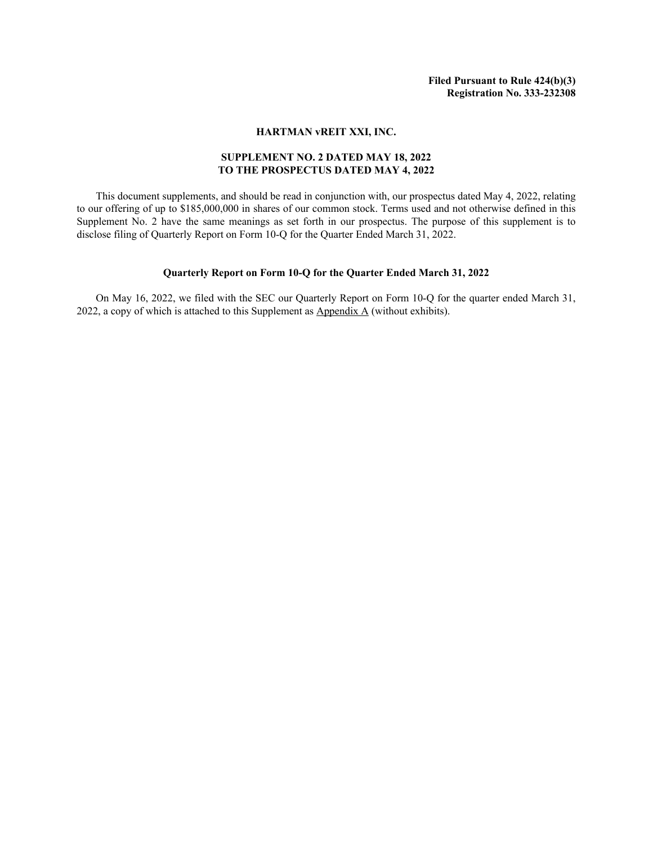## **HARTMAN vREIT XXI, INC.**

## **SUPPLEMENT NO. 2 DATED MAY 18, 2022 TO THE PROSPECTUS DATED MAY 4, 2022**

This document supplements, and should be read in conjunction with, our prospectus dated May 4, 2022, relating to our offering of up to \$185,000,000 in shares of our common stock. Terms used and not otherwise defined in this Supplement No. 2 have the same meanings as set forth in our prospectus. The purpose of this supplement is to disclose filing of Quarterly Report on Form 10-Q for the Quarter Ended March 31, 2022.

## **Quarterly Report on Form 10-Q for the Quarter Ended March 31, 2022**

On May 16, 2022, we filed with the SEC our Quarterly Report on Form 10-Q for the quarter ended March 31, 2022, a copy of which is attached to this Supplement as  $\Delta$ ppendix  $\Delta$  (without exhibits).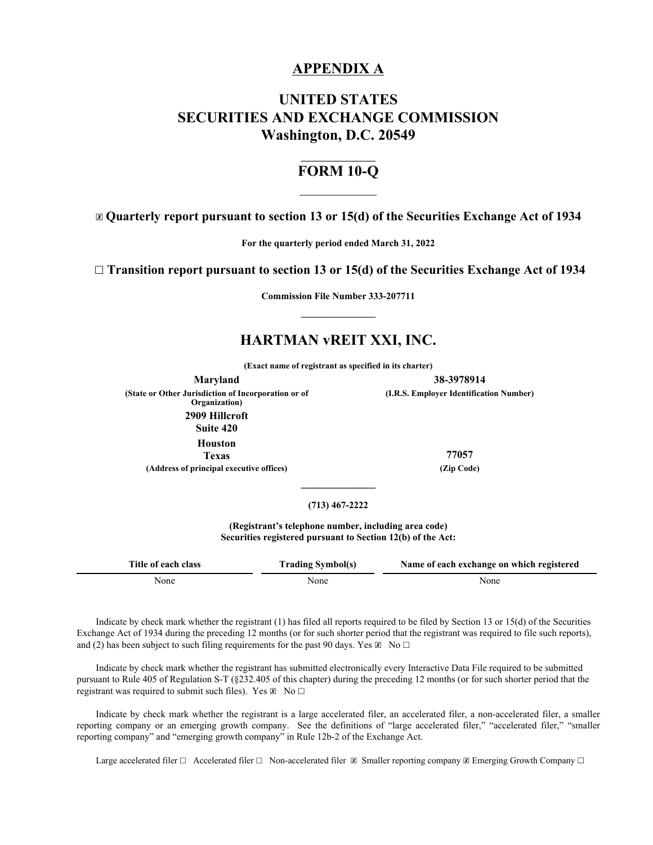## **APPENDIX A**

# **UNITED STATES SECURITIES AND EXCHANGE COMMISSION Washington, D.C. 20549**

# $\frac{1}{2}$ **FORM 10-Q**  $\mathcal{L}_\text{max}$

☒ **Quarterly report pursuant to section 13 or 15(d) of the Securities Exchange Act of 1934**

**For the quarterly period ended March 31, 2022**

☐ **Transition report pursuant to section 13 or 15(d) of the Securities Exchange Act of 1934**

**Commission File Number 333-207711**  $\frac{1}{2}$ 

# **HARTMAN vREIT XXI, INC.**

**(Exact name of registrant as specified in its charter)**

**Maryland 38-3978914 (State or Other Jurisdiction of Incorporation or of Organization) 2909 Hillcroft Suite 420 Houston Texas 77057**

**(Address of principal executive offices) (Zip Code)**

**(I.R.S. Employer Identification Number)**

## **(713) 467-2222**

**\_\_\_\_\_\_\_\_\_\_\_\_\_\_**

**(Registrant's telephone number, including area code) Securities registered pursuant to Section 12(b) of the Act:** 

| Title of each class | <b>Trading Symbol(s)</b> | Name of each exchange on which registered |
|---------------------|--------------------------|-------------------------------------------|
| None                | <b>None</b>              | None                                      |

Indicate by check mark whether the registrant (1) has filed all reports required to be filed by Section 13 or 15(d) of the Securities Exchange Act of 1934 during the preceding 12 months (or for such shorter period that the registrant was required to file such reports), and (2) has been subject to such filing requirements for the past 90 days. Yes  $\boxtimes \text{ No } \square$ 

Indicate by check mark whether the registrant has submitted electronically every Interactive Data File required to be submitted pursuant to Rule 405 of Regulation S-T (§232.405 of this chapter) during the preceding 12 months (or for such shorter period that the registrant was required to submit such files). Yes  $\boxtimes$  No  $\Box$ 

Indicate by check mark whether the registrant is a large accelerated filer, an accelerated filer, a non-accelerated filer, a smaller reporting company or an emerging growth company. See the definitions of "large accelerated filer," "accelerated filer," "smaller reporting company" and "emerging growth company" in Rule 12b-2 of the Exchange Act.

Large accelerated filer  $\Box$  Accelerated filer  $\Box$  Non-accelerated filer  $\Box$  Smaller reporting company  $\Box$  Emerging Growth Company  $\Box$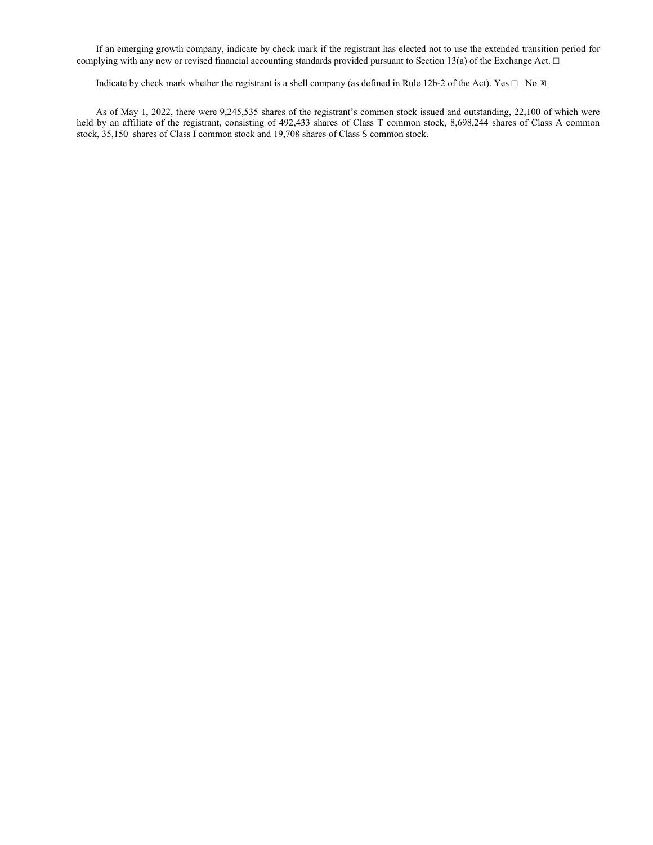If an emerging growth company, indicate by check mark if the registrant has elected not to use the extended transition period for complying with any new or revised financial accounting standards provided pursuant to Section 13(a) of the Exchange Act.  $\Box$ 

Indicate by check mark whether the registrant is a shell company (as defined in Rule 12b-2 of the Act). Yes  $\Box$  No  $\Box$ 

As of May 1, 2022, there were 9,245,535 shares of the registrant's common stock issued and outstanding, 22,100 of which were held by an affiliate of the registrant, consisting of 492,433 shares of Class T common stock, 8,698,244 shares of Class A common stock, 35,150 shares of Class I common stock and 19,708 shares of Class S common stock.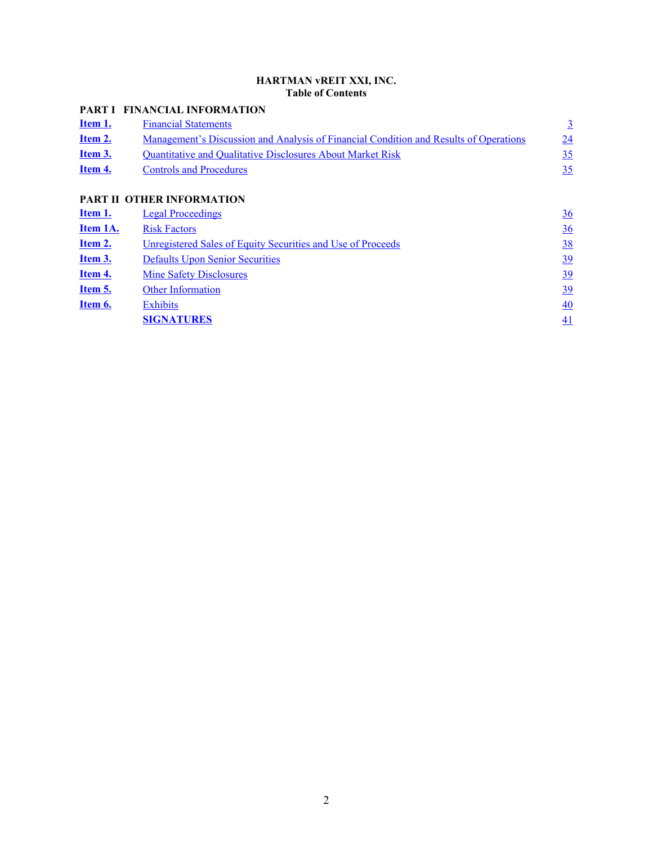## **HARTMAN vREIT XXI, INC. Table of Contents**

# **PART I FINANCIAL INFORMATION**

| <u>Item 1.</u> | <b>Financial Statements</b>                                                           |    |
|----------------|---------------------------------------------------------------------------------------|----|
| Item 2.        | Management's Discussion and Analysis of Financial Condition and Results of Operations | 24 |
| Item 3.        | <b>Ouantitative and Oualitative Disclosures About Market Risk</b>                     | 35 |
| Item 4.        | <b>Controls and Procedures</b>                                                        | 35 |
|                |                                                                                       |    |

# **PART II OTHER INFORMATION**

| Item 1.         | <b>Legal Proceedings</b>                                    | $\frac{36}{5}$ |
|-----------------|-------------------------------------------------------------|----------------|
| <b>Item 1A.</b> | <b>Risk Factors</b>                                         | $\frac{36}{5}$ |
| <u>Item 2.</u>  | Unregistered Sales of Equity Securities and Use of Proceeds | <u>38</u>      |
| <u>Item 3.</u>  | <b>Defaults Upon Senior Securities</b>                      | <u>39</u>      |
| Item 4.         | <b>Mine Safety Disclosures</b>                              | 39             |
| Item 5.         | <b>Other Information</b>                                    | <u>39</u>      |
| Item 6.         | <b>Exhibits</b>                                             | 40             |
|                 | <b>SIGNATURES</b>                                           | 41             |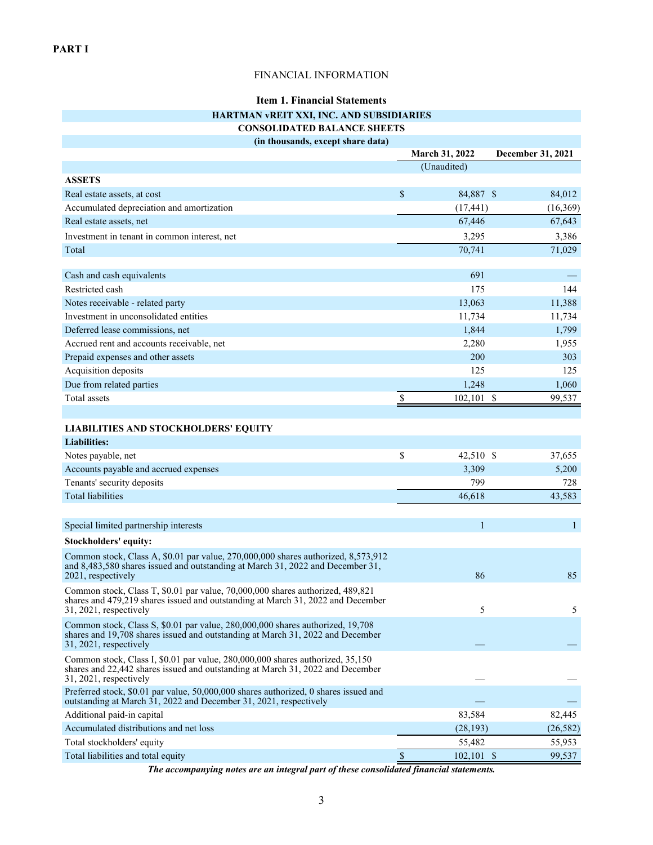## FINANCIAL INFORMATION

# **Item 1. Financial Statements**

## **HARTMAN vREIT XXI, INC. AND SUBSIDIARIES**

## **CONSOLIDATED BALANCE SHEETS**

**(in thousands, except share data)**

<span id="page-4-0"></span>

|                                                                                                                                                                                             | March 31, 2022      | December 31, 2021      |
|---------------------------------------------------------------------------------------------------------------------------------------------------------------------------------------------|---------------------|------------------------|
|                                                                                                                                                                                             | (Unaudited)         |                        |
| <b>ASSETS</b>                                                                                                                                                                               |                     |                        |
| Real estate assets, at cost                                                                                                                                                                 | \$<br>84,887 \$     | 84,012                 |
| Accumulated depreciation and amortization                                                                                                                                                   | (17, 441)           | (16,369)               |
| Real estate assets, net                                                                                                                                                                     | 67,446              | 67,643                 |
| Investment in tenant in common interest, net                                                                                                                                                | 3,295               | 3,386                  |
| Total                                                                                                                                                                                       | 70,741              | 71,029                 |
|                                                                                                                                                                                             |                     |                        |
| Cash and cash equivalents                                                                                                                                                                   | 691                 |                        |
| Restricted cash                                                                                                                                                                             | 175                 | 144                    |
| Notes receivable - related party                                                                                                                                                            | 13,063              | 11,388                 |
| Investment in unconsolidated entities                                                                                                                                                       | 11,734              | 11,734                 |
| Deferred lease commissions, net                                                                                                                                                             | 1,844               | 1,799                  |
| Accrued rent and accounts receivable, net                                                                                                                                                   | 2,280               | 1,955                  |
| Prepaid expenses and other assets                                                                                                                                                           | 200                 | 303                    |
| Acquisition deposits                                                                                                                                                                        | 125                 | 125                    |
| Due from related parties                                                                                                                                                                    | 1,248               | 1,060                  |
| <b>Total</b> assets                                                                                                                                                                         | \$<br>102,101       | $\mathbb{S}$<br>99,537 |
|                                                                                                                                                                                             |                     |                        |
| <b>LIABILITIES AND STOCKHOLDERS' EQUITY</b>                                                                                                                                                 |                     |                        |
| <b>Liabilities:</b>                                                                                                                                                                         |                     |                        |
| Notes payable, net                                                                                                                                                                          | \$<br>42,510 \$     | 37,655                 |
| Accounts payable and accrued expenses                                                                                                                                                       | 3,309               | 5,200                  |
| Tenants' security deposits                                                                                                                                                                  | 799                 | 728                    |
| <b>Total liabilities</b>                                                                                                                                                                    | 46,618              | 43,583                 |
|                                                                                                                                                                                             |                     |                        |
| Special limited partnership interests                                                                                                                                                       | $\mathbf{1}$        | $\mathbf{1}$           |
| Stockholders' equity:                                                                                                                                                                       |                     |                        |
| Common stock, Class A, \$0.01 par value, 270,000,000 shares authorized, 8,573,912<br>and 8,483,580 shares issued and outstanding at March 31, 2022 and December 31,<br>2021, respectively   | 86                  | 85                     |
| Common stock, Class T, \$0.01 par value, 70,000,000 shares authorized, 489,821<br>shares and 479,219 shares issued and outstanding at March 31, 2022 and December<br>31, 2021, respectively | 5                   | 5                      |
| Common stock, Class S, \$0.01 par value, 280,000,000 shares authorized, 19,708<br>shares and 19,708 shares issued and outstanding at March 31, 2022 and December<br>31, 2021, respectively  |                     |                        |
| Common stock, Class I, \$0.01 par value, 280,000,000 shares authorized, 35,150<br>shares and 22,442 shares issued and outstanding at March 31, 2022 and December<br>31, 2021, respectively  |                     |                        |
| Preferred stock, \$0.01 par value, 50,000,000 shares authorized, 0 shares issued and<br>outstanding at March 31, 2022 and December 31, 2021, respectively                                   |                     |                        |
| Additional paid-in capital                                                                                                                                                                  | 83,584              | 82,445                 |
| Accumulated distributions and net loss                                                                                                                                                      | (28, 193)           | (26, 582)              |
| Total stockholders' equity                                                                                                                                                                  | 55,482              | 55,953                 |
| Total liabilities and total equity                                                                                                                                                          | \$<br>$102, 101$ \$ | 99,537                 |

*The accompanying notes are an integral part of these consolidated financial statements.*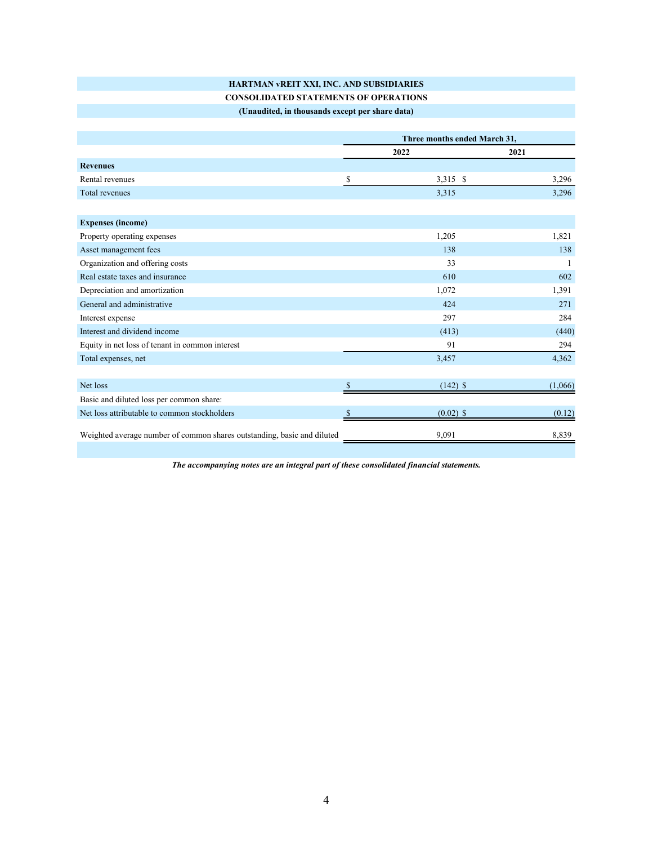# **HARTMAN vREIT XXI, INC. AND SUBSIDIARIES**

# **CONSOLIDATED STATEMENTS OF OPERATIONS**

| (Unaudited, in thousands except per share data) |  |
|-------------------------------------------------|--|
|-------------------------------------------------|--|

|                                                                         | Three months ended March 31, |             |         |
|-------------------------------------------------------------------------|------------------------------|-------------|---------|
|                                                                         | 2022                         |             | 2021    |
| <b>Revenues</b>                                                         |                              |             |         |
| Rental revenues                                                         | \$                           | 3,315 \$    | 3,296   |
| <b>Total revenues</b>                                                   |                              | 3,315       | 3,296   |
|                                                                         |                              |             |         |
| <b>Expenses (income)</b>                                                |                              |             |         |
| Property operating expenses                                             |                              | 1,205       | 1,821   |
| Asset management fees                                                   |                              | 138         | 138     |
| Organization and offering costs                                         |                              | 33          |         |
| Real estate taxes and insurance                                         |                              | 610         | 602     |
| Depreciation and amortization                                           |                              | 1,072       | 1,391   |
| General and administrative                                              |                              | 424         | 271     |
| Interest expense                                                        |                              | 297         | 284     |
| Interest and dividend income                                            |                              | (413)       | (440)   |
| Equity in net loss of tenant in common interest                         |                              | 91          | 294     |
| Total expenses, net                                                     |                              | 3,457       | 4,362   |
|                                                                         |                              |             |         |
| Net loss                                                                | <sup>\$</sup>                | $(142)$ \$  | (1,066) |
| Basic and diluted loss per common share:                                |                              |             |         |
| Net loss attributable to common stockholders                            |                              | $(0.02)$ \$ | (0.12)  |
| Weighted average number of common shares outstanding, basic and diluted |                              | 9,091       | 8,839   |

*The accompanying notes are an integral part of these consolidated financial statements.*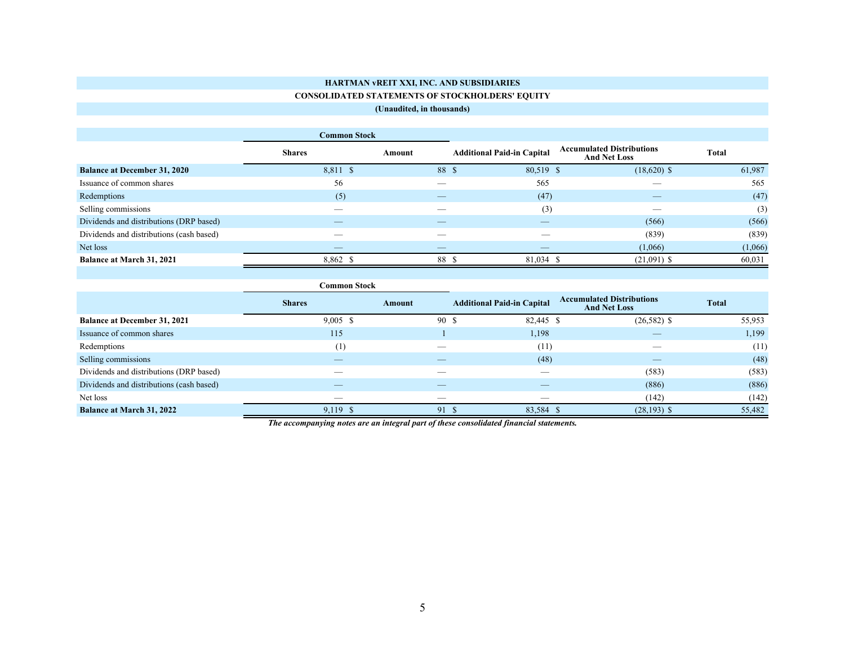## **HARTMAN vREIT XXI, INC. AND SUBSIDIARIES CONSOLIDATED STATEMENTS OF STOCKHOLDERS' EQUITY**

## **(Unaudited, in thousands)**

|                                          | C <b>ommon Stock</b> |        |                                   |                                                         |         |  |
|------------------------------------------|----------------------|--------|-----------------------------------|---------------------------------------------------------|---------|--|
|                                          | <b>Shares</b>        | Amount | <b>Additional Paid-in Capital</b> | <b>Accumulated Distributions</b><br><b>And Net Loss</b> | Total   |  |
| <b>Balance at December 31, 2020</b>      | 8,811 \$             | 88 \$  | 80,519 \$                         | $(18,620)$ \$                                           | 61,987  |  |
| Issuance of common shares                | 56                   |        | 565                               |                                                         | 565     |  |
| Redemptions                              | (5)                  |        | (47)                              |                                                         | (47)    |  |
| Selling commissions                      | __                   | __     | (3)                               | $\overline{\phantom{a}}$                                | (3)     |  |
| Dividends and distributions (DRP based)  |                      |        |                                   | (566)                                                   | (566)   |  |
| Dividends and distributions (cash based) | --                   |        |                                   | (839)                                                   | (839)   |  |
| Net loss                                 |                      |        |                                   | (1,066)                                                 | (1,066) |  |
| <b>Balance at March 31, 2021</b>         | 8,862 \$             | 88 \$  | 81,034 \$                         | $(21,091)$ \$                                           | 60,031  |  |

|                                          | C <b>ommon Stock</b> |        |                                   |                                                         |              |
|------------------------------------------|----------------------|--------|-----------------------------------|---------------------------------------------------------|--------------|
|                                          | <b>Shares</b>        | Amount | <b>Additional Paid-in Capital</b> | <b>Accumulated Distributions</b><br><b>And Net Loss</b> | <b>Total</b> |
| <b>Balance at December 31, 2021</b>      | $9,005$ \$           | 90 \$  | 82,445 \$                         | $(26,582)$ \$                                           | 55,953       |
| Issuance of common shares                | 115                  |        | 1,198                             |                                                         | 1,199        |
| Redemptions                              | (1)                  |        | (11)                              |                                                         | (11)         |
| Selling commissions                      |                      |        | (48)                              |                                                         | (48)         |
| Dividends and distributions (DRP based)  |                      |        |                                   | (583)                                                   | (583)        |
| Dividends and distributions (cash based) |                      |        |                                   | (886)                                                   | (886)        |
| Net loss                                 |                      |        |                                   | (142)                                                   | (142)        |
| <b>Balance at March 31, 2022</b>         | $9,119$ \$           | 91 \$  | 83,584 \$                         | $(28, 193)$ \$                                          | 55,482       |

*The accompanying notes are an integral part of these consolidated financial statements.*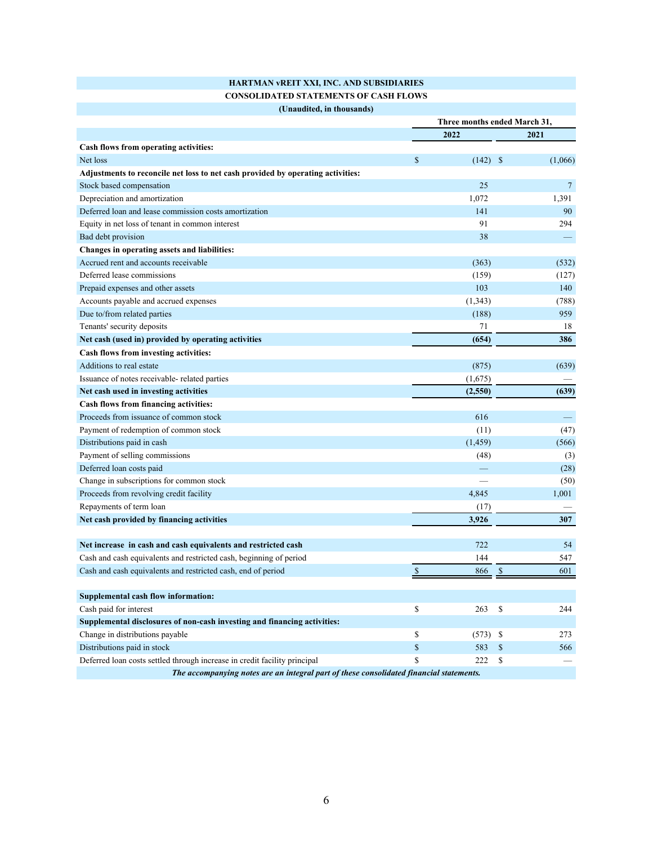| HARTMAN vREIT XXI, INC. AND SUBSIDIARIES     |
|----------------------------------------------|
| <b>CONSOLIDATED STATEMENTS OF CASH FLOWS</b> |

| (Unaudited, in thousands) |
|---------------------------|
|---------------------------|

|                                                                                         | Three months ended March 31, |            |               |                 |
|-----------------------------------------------------------------------------------------|------------------------------|------------|---------------|-----------------|
|                                                                                         |                              | 2022       |               | 2021            |
| Cash flows from operating activities:                                                   |                              |            |               |                 |
| Net loss                                                                                | $\mathcal{S}$                | (142)      | <sup>\$</sup> | (1,066)         |
| Adjustments to reconcile net loss to net cash provided by operating activities:         |                              |            |               |                 |
| Stock based compensation                                                                |                              | 25         |               | $7\phantom{.0}$ |
| Depreciation and amortization                                                           |                              | 1,072      |               | 1,391           |
| Deferred loan and lease commission costs amortization                                   |                              | 141        |               | 90              |
| Equity in net loss of tenant in common interest                                         |                              | 91         |               | 294             |
| Bad debt provision                                                                      |                              | 38         |               |                 |
| Changes in operating assets and liabilities:                                            |                              |            |               |                 |
| Accrued rent and accounts receivable                                                    |                              | (363)      |               | (532)           |
| Deferred lease commissions                                                              |                              | (159)      |               | (127)           |
| Prepaid expenses and other assets                                                       |                              | 103        |               | 140             |
| Accounts payable and accrued expenses                                                   |                              | (1, 343)   |               | (788)           |
| Due to/from related parties                                                             |                              | (188)      |               | 959             |
| Tenants' security deposits                                                              |                              | 71         |               | 18              |
| Net cash (used in) provided by operating activities                                     |                              | (654)      |               | 386             |
| Cash flows from investing activities:                                                   |                              |            |               |                 |
| Additions to real estate                                                                |                              | (875)      |               | (639)           |
| Issuance of notes receivable-related parties                                            |                              | (1,675)    |               |                 |
| Net cash used in investing activities                                                   |                              | (2,550)    |               | (639)           |
| Cash flows from financing activities:                                                   |                              |            |               |                 |
| Proceeds from issuance of common stock                                                  |                              | 616        |               |                 |
| Payment of redemption of common stock                                                   |                              | (11)       |               | (47)            |
| Distributions paid in cash                                                              |                              | (1, 459)   |               | (566)           |
| Payment of selling commissions                                                          |                              | (48)       |               | (3)             |
| Deferred loan costs paid                                                                |                              |            |               | (28)            |
| Change in subscriptions for common stock                                                |                              |            |               | (50)            |
| Proceeds from revolving credit facility                                                 |                              | 4,845      |               | 1,001           |
| Repayments of term loan                                                                 |                              | (17)       |               |                 |
| Net cash provided by financing activities                                               |                              | 3,926      |               | 307             |
|                                                                                         |                              |            |               |                 |
| Net increase in cash and cash equivalents and restricted cash                           |                              | 722        |               | 54              |
| Cash and cash equivalents and restricted cash, beginning of period                      |                              | 144        |               | 547             |
| Cash and cash equivalents and restricted cash, end of period                            | S                            | 866        | \$            | 601             |
|                                                                                         |                              |            |               |                 |
| <b>Supplemental cash flow information:</b>                                              |                              |            |               |                 |
| Cash paid for interest                                                                  | \$                           | 263        | \$            | 244             |
| Supplemental disclosures of non-cash investing and financing activities:                |                              |            |               |                 |
| Change in distributions payable                                                         | \$                           | $(573)$ \$ |               | 273             |
| Distributions paid in stock                                                             | \$                           | 583        | $\mathbb{S}$  | 566             |
| Deferred loan costs settled through increase in credit facility principal               | \$                           | 222        | $\mathbb{S}$  |                 |
| The accompanying notes are an integral part of these consolidated financial statements. |                              |            |               |                 |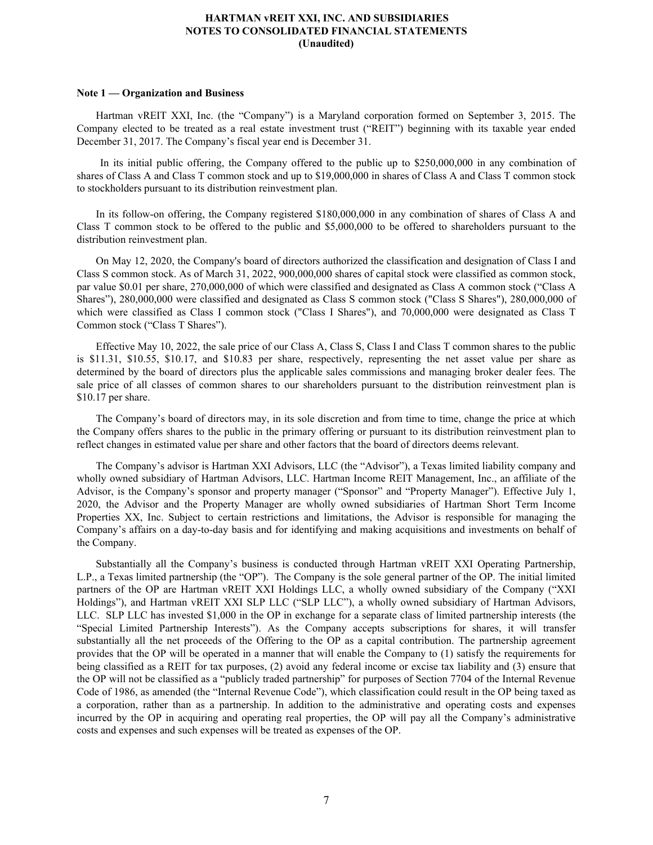## **Note 1 — Organization and Business**

Hartman vREIT XXI, Inc. (the "Company") is a Maryland corporation formed on September 3, 2015. The Company elected to be treated as a real estate investment trust ("REIT") beginning with its taxable year ended December 31, 2017. The Company's fiscal year end is December 31.

 In its initial public offering, the Company offered to the public up to \$250,000,000 in any combination of shares of Class A and Class T common stock and up to \$19,000,000 in shares of Class A and Class T common stock to stockholders pursuant to its distribution reinvestment plan.

In its follow-on offering, the Company registered \$180,000,000 in any combination of shares of Class A and Class T common stock to be offered to the public and \$5,000,000 to be offered to shareholders pursuant to the distribution reinvestment plan.

On May 12, 2020, the Company's board of directors authorized the classification and designation of Class I and Class S common stock. As of March 31, 2022, 900,000,000 shares of capital stock were classified as common stock, par value \$0.01 per share, 270,000,000 of which were classified and designated as Class A common stock ("Class A Shares"), 280,000,000 were classified and designated as Class S common stock ("Class S Shares"), 280,000,000 of which were classified as Class I common stock ("Class I Shares"), and 70,000,000 were designated as Class T Common stock ("Class T Shares").

Effective May 10, 2022, the sale price of our Class A, Class S, Class I and Class T common shares to the public is \$11.31, \$10.55, \$10.17, and \$10.83 per share, respectively, representing the net asset value per share as determined by the board of directors plus the applicable sales commissions and managing broker dealer fees. The sale price of all classes of common shares to our shareholders pursuant to the distribution reinvestment plan is \$10.17 per share.

The Company's board of directors may, in its sole discretion and from time to time, change the price at which the Company offers shares to the public in the primary offering or pursuant to its distribution reinvestment plan to reflect changes in estimated value per share and other factors that the board of directors deems relevant.

The Company's advisor is Hartman XXI Advisors, LLC (the "Advisor"), a Texas limited liability company and wholly owned subsidiary of Hartman Advisors, LLC. Hartman Income REIT Management, Inc., an affiliate of the Advisor, is the Company's sponsor and property manager ("Sponsor" and "Property Manager"). Effective July 1, 2020, the Advisor and the Property Manager are wholly owned subsidiaries of Hartman Short Term Income Properties XX, Inc. Subject to certain restrictions and limitations, the Advisor is responsible for managing the Company's affairs on a day-to-day basis and for identifying and making acquisitions and investments on behalf of the Company.

Substantially all the Company's business is conducted through Hartman vREIT XXI Operating Partnership, L.P., a Texas limited partnership (the "OP"). The Company is the sole general partner of the OP. The initial limited partners of the OP are Hartman vREIT XXI Holdings LLC, a wholly owned subsidiary of the Company ("XXI Holdings"), and Hartman vREIT XXI SLP LLC ("SLP LLC"), a wholly owned subsidiary of Hartman Advisors, LLC. SLP LLC has invested \$1,000 in the OP in exchange for a separate class of limited partnership interests (the "Special Limited Partnership Interests"). As the Company accepts subscriptions for shares, it will transfer substantially all the net proceeds of the Offering to the OP as a capital contribution. The partnership agreement provides that the OP will be operated in a manner that will enable the Company to (1) satisfy the requirements for being classified as a REIT for tax purposes, (2) avoid any federal income or excise tax liability and (3) ensure that the OP will not be classified as a "publicly traded partnership" for purposes of Section 7704 of the Internal Revenue Code of 1986, as amended (the "Internal Revenue Code"), which classification could result in the OP being taxed as a corporation, rather than as a partnership. In addition to the administrative and operating costs and expenses incurred by the OP in acquiring and operating real properties, the OP will pay all the Company's administrative costs and expenses and such expenses will be treated as expenses of the OP.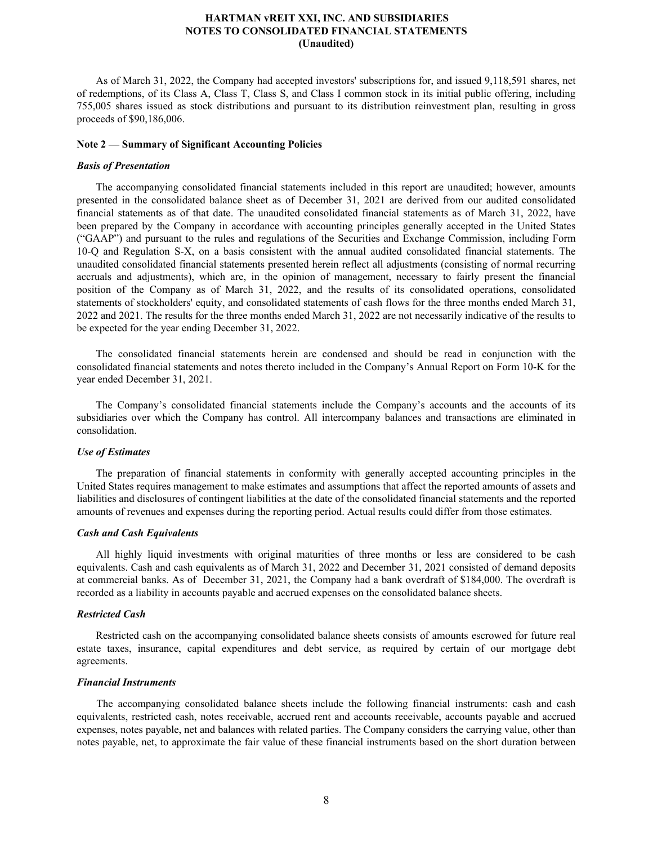As of March 31, 2022, the Company had accepted investors' subscriptions for, and issued 9,118,591 shares, net of redemptions, of its Class A, Class T, Class S, and Class I common stock in its initial public offering, including 755,005 shares issued as stock distributions and pursuant to its distribution reinvestment plan, resulting in gross proceeds of \$90,186,006.

## **Note 2 — Summary of Significant Accounting Policies**

#### *Basis of Presentation*

The accompanying consolidated financial statements included in this report are unaudited; however, amounts presented in the consolidated balance sheet as of December 31, 2021 are derived from our audited consolidated financial statements as of that date. The unaudited consolidated financial statements as of March 31, 2022, have been prepared by the Company in accordance with accounting principles generally accepted in the United States ("GAAP") and pursuant to the rules and regulations of the Securities and Exchange Commission, including Form 10-Q and Regulation S-X, on a basis consistent with the annual audited consolidated financial statements. The unaudited consolidated financial statements presented herein reflect all adjustments (consisting of normal recurring accruals and adjustments), which are, in the opinion of management, necessary to fairly present the financial position of the Company as of March 31, 2022, and the results of its consolidated operations, consolidated statements of stockholders' equity, and consolidated statements of cash flows for the three months ended March 31, 2022 and 2021. The results for the three months ended March 31, 2022 are not necessarily indicative of the results to be expected for the year ending December 31, 2022.

The consolidated financial statements herein are condensed and should be read in conjunction with the consolidated financial statements and notes thereto included in the Company's Annual Report on Form 10-K for the year ended December 31, 2021.

The Company's consolidated financial statements include the Company's accounts and the accounts of its subsidiaries over which the Company has control. All intercompany balances and transactions are eliminated in consolidation.

## *Use of Estimates*

The preparation of financial statements in conformity with generally accepted accounting principles in the United States requires management to make estimates and assumptions that affect the reported amounts of assets and liabilities and disclosures of contingent liabilities at the date of the consolidated financial statements and the reported amounts of revenues and expenses during the reporting period. Actual results could differ from those estimates.

#### *Cash and Cash Equivalents*

All highly liquid investments with original maturities of three months or less are considered to be cash equivalents. Cash and cash equivalents as of March 31, 2022 and December 31, 2021 consisted of demand deposits at commercial banks. As of December 31, 2021, the Company had a bank overdraft of \$184,000. The overdraft is recorded as a liability in accounts payable and accrued expenses on the consolidated balance sheets.

## *Restricted Cash*

Restricted cash on the accompanying consolidated balance sheets consists of amounts escrowed for future real estate taxes, insurance, capital expenditures and debt service, as required by certain of our mortgage debt agreements.

## *Financial Instruments*

 The accompanying consolidated balance sheets include the following financial instruments: cash and cash equivalents, restricted cash, notes receivable, accrued rent and accounts receivable, accounts payable and accrued expenses, notes payable, net and balances with related parties. The Company considers the carrying value, other than notes payable, net, to approximate the fair value of these financial instruments based on the short duration between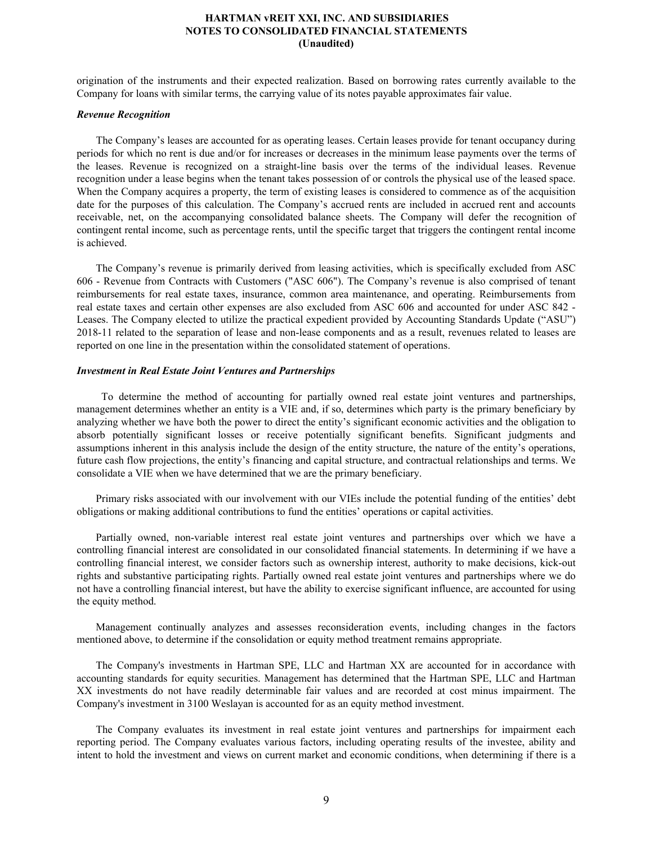origination of the instruments and their expected realization. Based on borrowing rates currently available to the Company for loans with similar terms, the carrying value of its notes payable approximates fair value.

#### *Revenue Recognition*

 The Company's leases are accounted for as operating leases. Certain leases provide for tenant occupancy during periods for which no rent is due and/or for increases or decreases in the minimum lease payments over the terms of the leases. Revenue is recognized on a straight-line basis over the terms of the individual leases. Revenue recognition under a lease begins when the tenant takes possession of or controls the physical use of the leased space. When the Company acquires a property, the term of existing leases is considered to commence as of the acquisition date for the purposes of this calculation. The Company's accrued rents are included in accrued rent and accounts receivable, net, on the accompanying consolidated balance sheets. The Company will defer the recognition of contingent rental income, such as percentage rents, until the specific target that triggers the contingent rental income is achieved.

The Company's revenue is primarily derived from leasing activities, which is specifically excluded from ASC 606 - Revenue from Contracts with Customers ("ASC 606"). The Company's revenue is also comprised of tenant reimbursements for real estate taxes, insurance, common area maintenance, and operating. Reimbursements from real estate taxes and certain other expenses are also excluded from ASC 606 and accounted for under ASC 842 - Leases. The Company elected to utilize the practical expedient provided by Accounting Standards Update ("ASU") 2018-11 related to the separation of lease and non-lease components and as a result, revenues related to leases are reported on one line in the presentation within the consolidated statement of operations.

#### *Investment in Real Estate Joint Ventures and Partnerships*

 To determine the method of accounting for partially owned real estate joint ventures and partnerships, management determines whether an entity is a VIE and, if so, determines which party is the primary beneficiary by analyzing whether we have both the power to direct the entity's significant economic activities and the obligation to absorb potentially significant losses or receive potentially significant benefits. Significant judgments and assumptions inherent in this analysis include the design of the entity structure, the nature of the entity's operations, future cash flow projections, the entity's financing and capital structure, and contractual relationships and terms. We consolidate a VIE when we have determined that we are the primary beneficiary.

Primary risks associated with our involvement with our VIEs include the potential funding of the entities' debt obligations or making additional contributions to fund the entities' operations or capital activities.

Partially owned, non-variable interest real estate joint ventures and partnerships over which we have a controlling financial interest are consolidated in our consolidated financial statements. In determining if we have a controlling financial interest, we consider factors such as ownership interest, authority to make decisions, kick-out rights and substantive participating rights. Partially owned real estate joint ventures and partnerships where we do not have a controlling financial interest, but have the ability to exercise significant influence, are accounted for using the equity method.

Management continually analyzes and assesses reconsideration events, including changes in the factors mentioned above, to determine if the consolidation or equity method treatment remains appropriate.

The Company's investments in Hartman SPE, LLC and Hartman XX are accounted for in accordance with accounting standards for equity securities. Management has determined that the Hartman SPE, LLC and Hartman XX investments do not have readily determinable fair values and are recorded at cost minus impairment. The Company's investment in 3100 Weslayan is accounted for as an equity method investment.

The Company evaluates its investment in real estate joint ventures and partnerships for impairment each reporting period. The Company evaluates various factors, including operating results of the investee, ability and intent to hold the investment and views on current market and economic conditions, when determining if there is a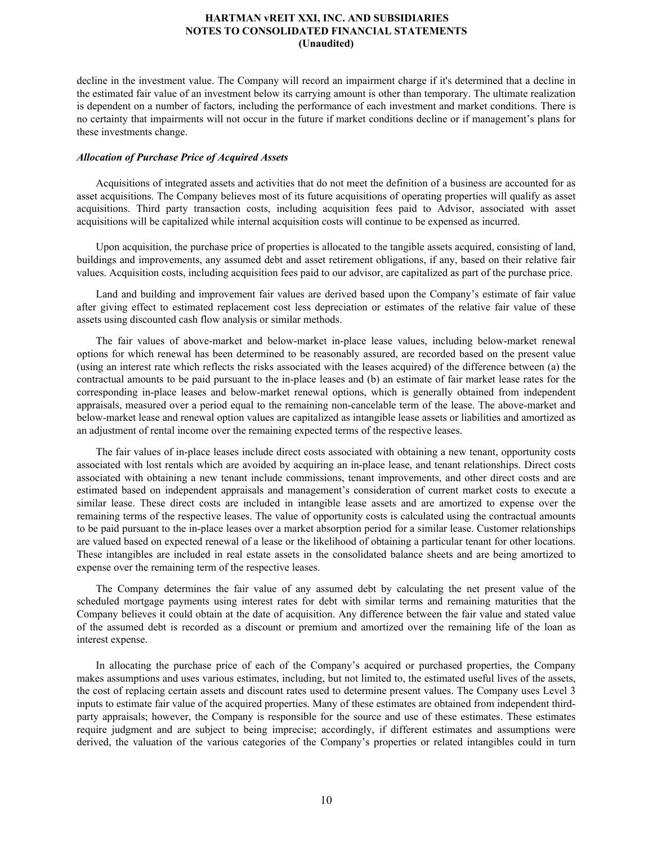decline in the investment value. The Company will record an impairment charge if it's determined that a decline in the estimated fair value of an investment below its carrying amount is other than temporary. The ultimate realization is dependent on a number of factors, including the performance of each investment and market conditions. There is no certainty that impairments will not occur in the future if market conditions decline or if management's plans for these investments change.

## *Allocation of Purchase Price of Acquired Assets*

Acquisitions of integrated assets and activities that do not meet the definition of a business are accounted for as asset acquisitions. The Company believes most of its future acquisitions of operating properties will qualify as asset acquisitions. Third party transaction costs, including acquisition fees paid to Advisor, associated with asset acquisitions will be capitalized while internal acquisition costs will continue to be expensed as incurred.

Upon acquisition, the purchase price of properties is allocated to the tangible assets acquired, consisting of land, buildings and improvements, any assumed debt and asset retirement obligations, if any, based on their relative fair values. Acquisition costs, including acquisition fees paid to our advisor, are capitalized as part of the purchase price.

Land and building and improvement fair values are derived based upon the Company's estimate of fair value after giving effect to estimated replacement cost less depreciation or estimates of the relative fair value of these assets using discounted cash flow analysis or similar methods.

The fair values of above-market and below-market in-place lease values, including below-market renewal options for which renewal has been determined to be reasonably assured, are recorded based on the present value (using an interest rate which reflects the risks associated with the leases acquired) of the difference between (a) the contractual amounts to be paid pursuant to the in-place leases and (b) an estimate of fair market lease rates for the corresponding in-place leases and below-market renewal options, which is generally obtained from independent appraisals, measured over a period equal to the remaining non-cancelable term of the lease. The above-market and below-market lease and renewal option values are capitalized as intangible lease assets or liabilities and amortized as an adjustment of rental income over the remaining expected terms of the respective leases.

The fair values of in-place leases include direct costs associated with obtaining a new tenant, opportunity costs associated with lost rentals which are avoided by acquiring an in-place lease, and tenant relationships. Direct costs associated with obtaining a new tenant include commissions, tenant improvements, and other direct costs and are estimated based on independent appraisals and management's consideration of current market costs to execute a similar lease. These direct costs are included in intangible lease assets and are amortized to expense over the remaining terms of the respective leases. The value of opportunity costs is calculated using the contractual amounts to be paid pursuant to the in-place leases over a market absorption period for a similar lease. Customer relationships are valued based on expected renewal of a lease or the likelihood of obtaining a particular tenant for other locations. These intangibles are included in real estate assets in the consolidated balance sheets and are being amortized to expense over the remaining term of the respective leases.

The Company determines the fair value of any assumed debt by calculating the net present value of the scheduled mortgage payments using interest rates for debt with similar terms and remaining maturities that the Company believes it could obtain at the date of acquisition. Any difference between the fair value and stated value of the assumed debt is recorded as a discount or premium and amortized over the remaining life of the loan as interest expense.

In allocating the purchase price of each of the Company's acquired or purchased properties, the Company makes assumptions and uses various estimates, including, but not limited to, the estimated useful lives of the assets, the cost of replacing certain assets and discount rates used to determine present values. The Company uses Level 3 inputs to estimate fair value of the acquired properties. Many of these estimates are obtained from independent thirdparty appraisals; however, the Company is responsible for the source and use of these estimates. These estimates require judgment and are subject to being imprecise; accordingly, if different estimates and assumptions were derived, the valuation of the various categories of the Company's properties or related intangibles could in turn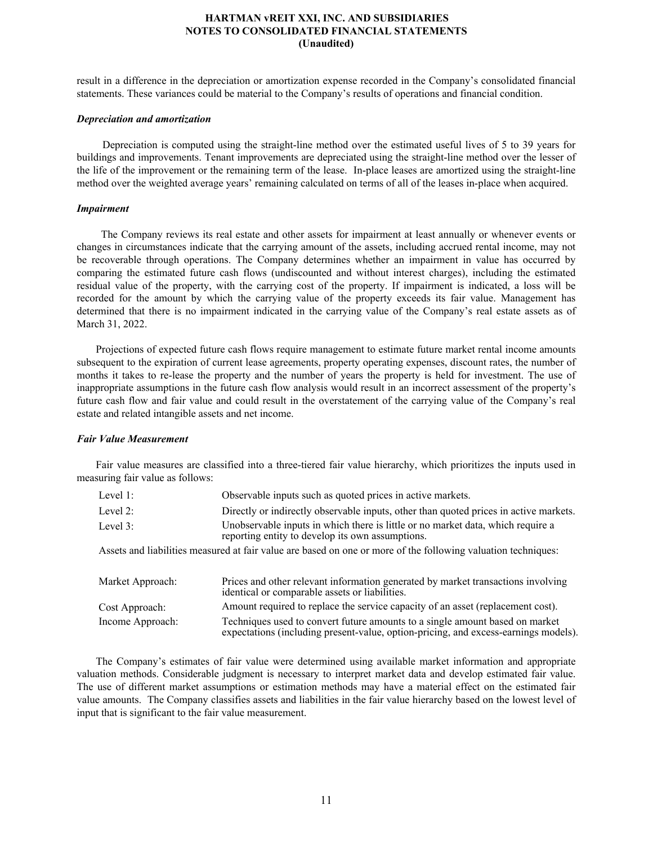result in a difference in the depreciation or amortization expense recorded in the Company's consolidated financial statements. These variances could be material to the Company's results of operations and financial condition.

## *Depreciation and amortization*

 Depreciation is computed using the straight-line method over the estimated useful lives of 5 to 39 years for buildings and improvements. Tenant improvements are depreciated using the straight-line method over the lesser of the life of the improvement or the remaining term of the lease. In-place leases are amortized using the straight-line method over the weighted average years' remaining calculated on terms of all of the leases in-place when acquired.

## *Impairment*

 The Company reviews its real estate and other assets for impairment at least annually or whenever events or changes in circumstances indicate that the carrying amount of the assets, including accrued rental income, may not be recoverable through operations. The Company determines whether an impairment in value has occurred by comparing the estimated future cash flows (undiscounted and without interest charges), including the estimated residual value of the property, with the carrying cost of the property. If impairment is indicated, a loss will be recorded for the amount by which the carrying value of the property exceeds its fair value. Management has determined that there is no impairment indicated in the carrying value of the Company's real estate assets as of March 31, 2022.

Projections of expected future cash flows require management to estimate future market rental income amounts subsequent to the expiration of current lease agreements, property operating expenses, discount rates, the number of months it takes to re-lease the property and the number of years the property is held for investment. The use of inappropriate assumptions in the future cash flow analysis would result in an incorrect assessment of the property's future cash flow and fair value and could result in the overstatement of the carrying value of the Company's real estate and related intangible assets and net income.

## *Fair Value Measurement*

Fair value measures are classified into a three-tiered fair value hierarchy, which prioritizes the inputs used in measuring fair value as follows:

| Level 1: | Observable inputs such as quoted prices in active markets.                                                                          |
|----------|-------------------------------------------------------------------------------------------------------------------------------------|
| Level 2: | Directly or indirectly observable inputs, other than quoted prices in active markets.                                               |
| Level 3: | Unobservable inputs in which there is little or no market data, which require a<br>reporting entity to develop its own assumptions. |
|          | Assets and liabilities measured at fair value are based on one or more of the following valuation techniques:                       |
|          |                                                                                                                                     |

| Market Approach: | Prices and other relevant information generated by market transactions involving<br>identical or comparable assets or liabilities.                                  |
|------------------|---------------------------------------------------------------------------------------------------------------------------------------------------------------------|
| Cost Approach:   | Amount required to replace the service capacity of an asset (replacement cost).                                                                                     |
| Income Approach: | Techniques used to convert future amounts to a single amount based on market<br>expectations (including present-value, option-pricing, and excess-earnings models). |

The Company's estimates of fair value were determined using available market information and appropriate valuation methods. Considerable judgment is necessary to interpret market data and develop estimated fair value. The use of different market assumptions or estimation methods may have a material effect on the estimated fair value amounts. The Company classifies assets and liabilities in the fair value hierarchy based on the lowest level of input that is significant to the fair value measurement.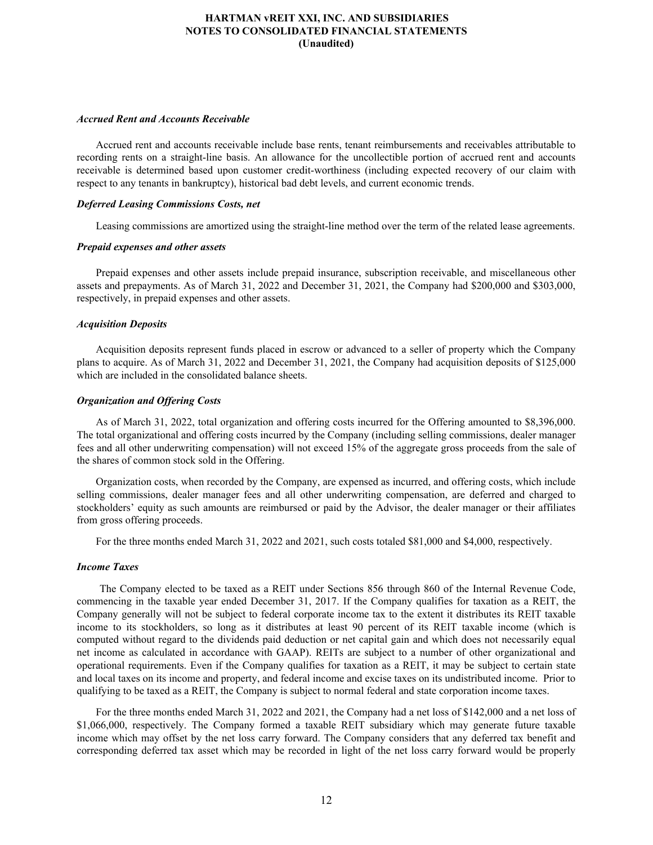## *Accrued Rent and Accounts Receivable*

Accrued rent and accounts receivable include base rents, tenant reimbursements and receivables attributable to recording rents on a straight-line basis. An allowance for the uncollectible portion of accrued rent and accounts receivable is determined based upon customer credit-worthiness (including expected recovery of our claim with respect to any tenants in bankruptcy), historical bad debt levels, and current economic trends.

## *Deferred Leasing Commissions Costs, net*

Leasing commissions are amortized using the straight-line method over the term of the related lease agreements.

#### *Prepaid expenses and other assets*

Prepaid expenses and other assets include prepaid insurance, subscription receivable, and miscellaneous other assets and prepayments. As of March 31, 2022 and December 31, 2021, the Company had \$200,000 and \$303,000, respectively, in prepaid expenses and other assets.

#### *Acquisition Deposits*

Acquisition deposits represent funds placed in escrow or advanced to a seller of property which the Company plans to acquire. As of March 31, 2022 and December 31, 2021, the Company had acquisition deposits of \$125,000 which are included in the consolidated balance sheets.

## *Organization and Offering Costs*

As of March 31, 2022, total organization and offering costs incurred for the Offering amounted to \$8,396,000. The total organizational and offering costs incurred by the Company (including selling commissions, dealer manager fees and all other underwriting compensation) will not exceed 15% of the aggregate gross proceeds from the sale of the shares of common stock sold in the Offering.

Organization costs, when recorded by the Company, are expensed as incurred, and offering costs, which include selling commissions, dealer manager fees and all other underwriting compensation, are deferred and charged to stockholders' equity as such amounts are reimbursed or paid by the Advisor, the dealer manager or their affiliates from gross offering proceeds.

For the three months ended March 31, 2022 and 2021, such costs totaled \$81,000 and \$4,000, respectively.

#### *Income Taxes*

 The Company elected to be taxed as a REIT under Sections 856 through 860 of the Internal Revenue Code, commencing in the taxable year ended December 31, 2017. If the Company qualifies for taxation as a REIT, the Company generally will not be subject to federal corporate income tax to the extent it distributes its REIT taxable income to its stockholders, so long as it distributes at least 90 percent of its REIT taxable income (which is computed without regard to the dividends paid deduction or net capital gain and which does not necessarily equal net income as calculated in accordance with GAAP). REITs are subject to a number of other organizational and operational requirements. Even if the Company qualifies for taxation as a REIT, it may be subject to certain state and local taxes on its income and property, and federal income and excise taxes on its undistributed income. Prior to qualifying to be taxed as a REIT, the Company is subject to normal federal and state corporation income taxes.

For the three months ended March 31, 2022 and 2021, the Company had a net loss of \$142,000 and a net loss of \$1,066,000, respectively. The Company formed a taxable REIT subsidiary which may generate future taxable income which may offset by the net loss carry forward. The Company considers that any deferred tax benefit and corresponding deferred tax asset which may be recorded in light of the net loss carry forward would be properly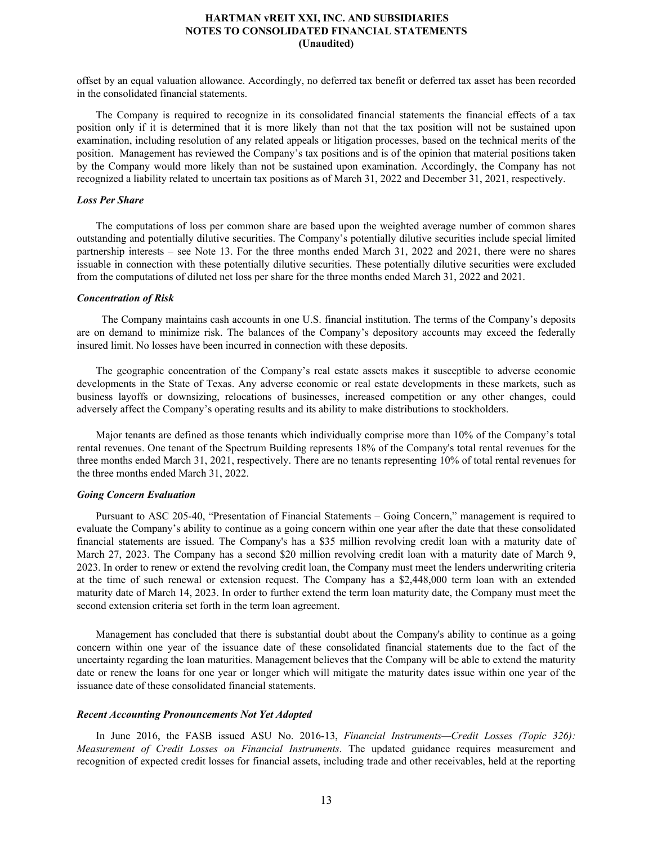offset by an equal valuation allowance. Accordingly, no deferred tax benefit or deferred tax asset has been recorded in the consolidated financial statements.

The Company is required to recognize in its consolidated financial statements the financial effects of a tax position only if it is determined that it is more likely than not that the tax position will not be sustained upon examination, including resolution of any related appeals or litigation processes, based on the technical merits of the position. Management has reviewed the Company's tax positions and is of the opinion that material positions taken by the Company would more likely than not be sustained upon examination. Accordingly, the Company has not recognized a liability related to uncertain tax positions as of March 31, 2022 and December 31, 2021, respectively.

## *Loss Per Share*

The computations of loss per common share are based upon the weighted average number of common shares outstanding and potentially dilutive securities. The Company's potentially dilutive securities include special limited partnership interests – see Note 13. For the three months ended March 31, 2022 and 2021, there were no shares issuable in connection with these potentially dilutive securities. These potentially dilutive securities were excluded from the computations of diluted net loss per share for the three months ended March 31, 2022 and 2021.

## *Concentration of Risk*

 The Company maintains cash accounts in one U.S. financial institution. The terms of the Company's deposits are on demand to minimize risk. The balances of the Company's depository accounts may exceed the federally insured limit. No losses have been incurred in connection with these deposits.

The geographic concentration of the Company's real estate assets makes it susceptible to adverse economic developments in the State of Texas. Any adverse economic or real estate developments in these markets, such as business layoffs or downsizing, relocations of businesses, increased competition or any other changes, could adversely affect the Company's operating results and its ability to make distributions to stockholders.

Major tenants are defined as those tenants which individually comprise more than 10% of the Company's total rental revenues. One tenant of the Spectrum Building represents 18% of the Company's total rental revenues for the three months ended March 31, 2021, respectively. There are no tenants representing 10% of total rental revenues for the three months ended March 31, 2022.

## *Going Concern Evaluation*

Pursuant to ASC 205-40, "Presentation of Financial Statements – Going Concern," management is required to evaluate the Company's ability to continue as a going concern within one year after the date that these consolidated financial statements are issued. The Company's has a \$35 million revolving credit loan with a maturity date of March 27, 2023. The Company has a second \$20 million revolving credit loan with a maturity date of March 9, 2023. In order to renew or extend the revolving credit loan, the Company must meet the lenders underwriting criteria at the time of such renewal or extension request. The Company has a \$2,448,000 term loan with an extended maturity date of March 14, 2023. In order to further extend the term loan maturity date, the Company must meet the second extension criteria set forth in the term loan agreement.

Management has concluded that there is substantial doubt about the Company's ability to continue as a going concern within one year of the issuance date of these consolidated financial statements due to the fact of the uncertainty regarding the loan maturities. Management believes that the Company will be able to extend the maturity date or renew the loans for one year or longer which will mitigate the maturity dates issue within one year of the issuance date of these consolidated financial statements.

#### *Recent Accounting Pronouncements Not Yet Adopted*

In June 2016, the FASB issued ASU No. 2016-13, *Financial Instruments—Credit Losses (Topic 326): Measurement of Credit Losses on Financial Instruments*. The updated guidance requires measurement and recognition of expected credit losses for financial assets, including trade and other receivables, held at the reporting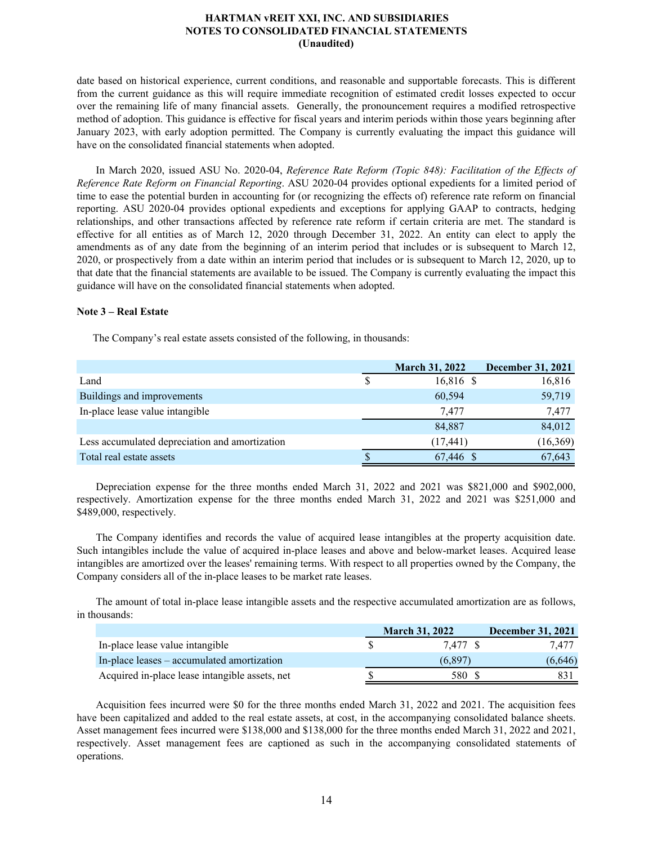date based on historical experience, current conditions, and reasonable and supportable forecasts. This is different from the current guidance as this will require immediate recognition of estimated credit losses expected to occur over the remaining life of many financial assets. Generally, the pronouncement requires a modified retrospective method of adoption. This guidance is effective for fiscal years and interim periods within those years beginning after January 2023, with early adoption permitted. The Company is currently evaluating the impact this guidance will have on the consolidated financial statements when adopted.

In March 2020, issued ASU No. 2020-04, *Reference Rate Reform (Topic 848): Facilitation of the Effects of Reference Rate Reform on Financial Reporting*. ASU 2020-04 provides optional expedients for a limited period of time to ease the potential burden in accounting for (or recognizing the effects of) reference rate reform on financial reporting. ASU 2020-04 provides optional expedients and exceptions for applying GAAP to contracts, hedging relationships, and other transactions affected by reference rate reform if certain criteria are met. The standard is effective for all entities as of March 12, 2020 through December 31, 2022. An entity can elect to apply the amendments as of any date from the beginning of an interim period that includes or is subsequent to March 12, 2020, or prospectively from a date within an interim period that includes or is subsequent to March 12, 2020, up to that date that the financial statements are available to be issued. The Company is currently evaluating the impact this guidance will have on the consolidated financial statements when adopted.

## **Note 3 – Real Estate**

The Company's real estate assets consisted of the following, in thousands:

|                                                | <b>March 31, 2022</b> | <b>December 31, 2021</b> |
|------------------------------------------------|-----------------------|--------------------------|
| Land                                           | 16,816 \$             | 16,816                   |
| Buildings and improvements                     | 60,594                | 59,719                   |
| In-place lease value intangible                | 7.477                 | 7,477                    |
|                                                | 84,887                | 84,012                   |
| Less accumulated depreciation and amortization | (17, 441)             | (16, 369)                |
| Total real estate assets                       | 67,446 \$             | 67,643                   |

Depreciation expense for the three months ended March 31, 2022 and 2021 was \$821,000 and \$902,000, respectively. Amortization expense for the three months ended March 31, 2022 and 2021 was \$251,000 and \$489,000, respectively.

The Company identifies and records the value of acquired lease intangibles at the property acquisition date. Such intangibles include the value of acquired in-place leases and above and below-market leases. Acquired lease intangibles are amortized over the leases' remaining terms. With respect to all properties owned by the Company, the Company considers all of the in-place leases to be market rate leases.

The amount of total in-place lease intangible assets and the respective accumulated amortization are as follows, in thousands:

|                                                | <b>March 31, 2022</b> | <b>December 31, 2021</b> |
|------------------------------------------------|-----------------------|--------------------------|
| In-place lease value intangible                | 7.477 S               | 7.477                    |
| In-place leases – accumulated amortization     | (6.897)               | (6,646)                  |
| Acquired in-place lease intangible assets, net | 580                   |                          |

Acquisition fees incurred were \$0 for the three months ended March 31, 2022 and 2021. The acquisition fees have been capitalized and added to the real estate assets, at cost, in the accompanying consolidated balance sheets. Asset management fees incurred were \$138,000 and \$138,000 for the three months ended March 31, 2022 and 2021, respectively. Asset management fees are captioned as such in the accompanying consolidated statements of operations.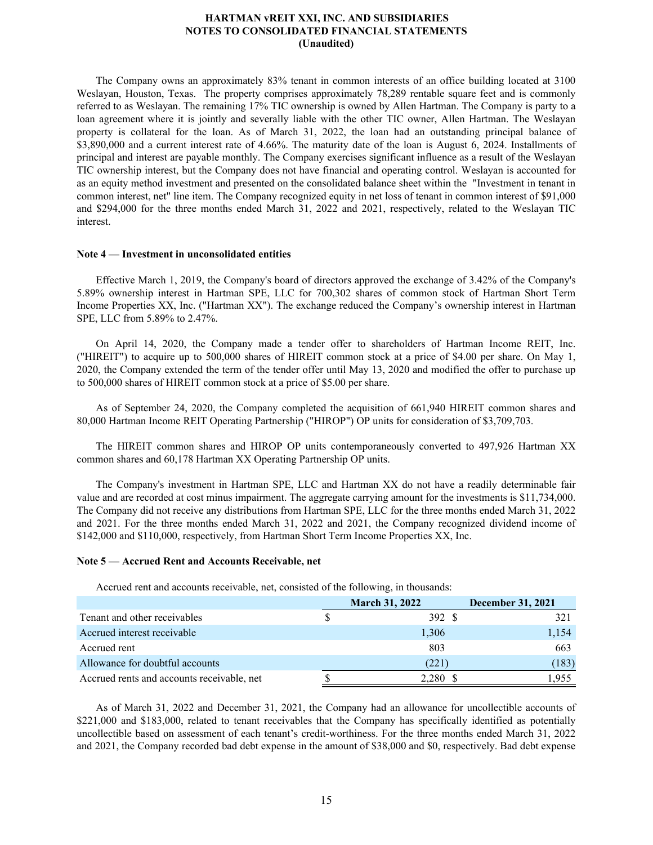The Company owns an approximately 83% tenant in common interests of an office building located at 3100 Weslayan, Houston, Texas. The property comprises approximately 78,289 rentable square feet and is commonly referred to as Weslayan. The remaining 17% TIC ownership is owned by Allen Hartman. The Company is party to a loan agreement where it is jointly and severally liable with the other TIC owner, Allen Hartman. The Weslayan property is collateral for the loan. As of March 31, 2022, the loan had an outstanding principal balance of \$3,890,000 and a current interest rate of 4.66%. The maturity date of the loan is August 6, 2024. Installments of principal and interest are payable monthly. The Company exercises significant influence as a result of the Weslayan TIC ownership interest, but the Company does not have financial and operating control. Weslayan is accounted for as an equity method investment and presented on the consolidated balance sheet within the "Investment in tenant in common interest, net" line item. The Company recognized equity in net loss of tenant in common interest of \$91,000 and \$294,000 for the three months ended March 31, 2022 and 2021, respectively, related to the Weslayan TIC interest.

## **Note 4 — Investment in unconsolidated entities**

Effective March 1, 2019, the Company's board of directors approved the exchange of 3.42% of the Company's 5.89% ownership interest in Hartman SPE, LLC for 700,302 shares of common stock of Hartman Short Term Income Properties XX, Inc. ("Hartman XX"). The exchange reduced the Company's ownership interest in Hartman SPE, LLC from 5.89% to 2.47%.

On April 14, 2020, the Company made a tender offer to shareholders of Hartman Income REIT, Inc. ("HIREIT") to acquire up to 500,000 shares of HIREIT common stock at a price of \$4.00 per share. On May 1, 2020, the Company extended the term of the tender offer until May 13, 2020 and modified the offer to purchase up to 500,000 shares of HIREIT common stock at a price of \$5.00 per share.

As of September 24, 2020, the Company completed the acquisition of 661,940 HIREIT common shares and 80,000 Hartman Income REIT Operating Partnership ("HIROP") OP units for consideration of \$3,709,703.

The HIREIT common shares and HIROP OP units contemporaneously converted to 497,926 Hartman XX common shares and 60,178 Hartman XX Operating Partnership OP units.

The Company's investment in Hartman SPE, LLC and Hartman XX do not have a readily determinable fair value and are recorded at cost minus impairment. The aggregate carrying amount for the investments is \$11,734,000. The Company did not receive any distributions from Hartman SPE, LLC for the three months ended March 31, 2022 and 2021. For the three months ended March 31, 2022 and 2021, the Company recognized dividend income of \$142,000 and \$110,000, respectively, from Hartman Short Term Income Properties XX, Inc.

#### **Note 5 — Accrued Rent and Accounts Receivable, net**

Accrued rent and accounts receivable, net, consisted of the following, in thousands:

|                                            | <b>March 31, 2022</b> | <b>December 31, 2021</b> |
|--------------------------------------------|-----------------------|--------------------------|
| Tenant and other receivables               | 392 \$                | 321                      |
| Accrued interest receivable                | 1,306                 | 1,154                    |
| Accrued rent                               | 803                   | 663                      |
| Allowance for doubtful accounts            | (221)                 | (183)                    |
| Accrued rents and accounts receivable, net | 2,280 \$              | .955                     |

As of March 31, 2022 and December 31, 2021, the Company had an allowance for uncollectible accounts of \$221,000 and \$183,000, related to tenant receivables that the Company has specifically identified as potentially uncollectible based on assessment of each tenant's credit-worthiness. For the three months ended March 31, 2022 and 2021, the Company recorded bad debt expense in the amount of \$38,000 and \$0, respectively. Bad debt expense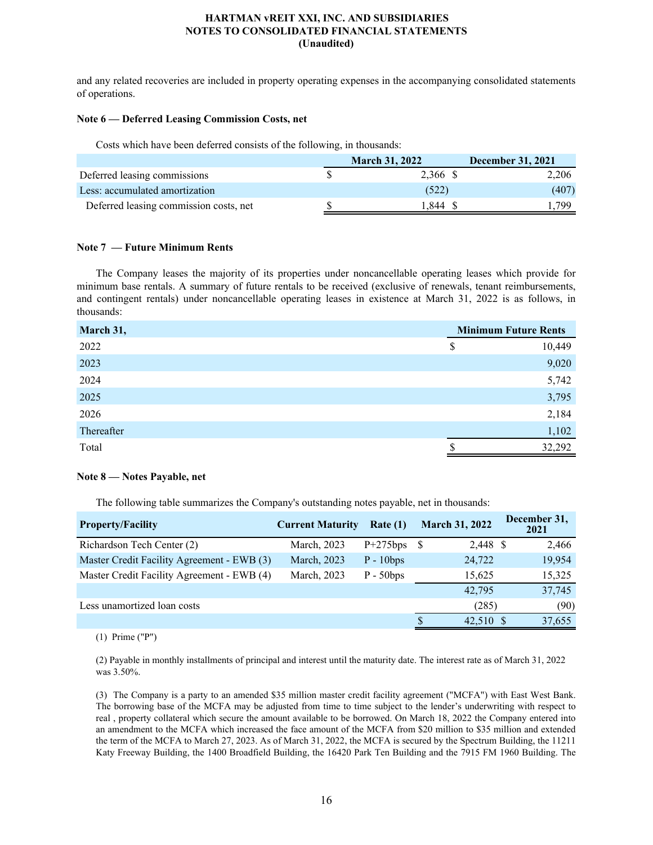and any related recoveries are included in property operating expenses in the accompanying consolidated statements of operations.

## **Note 6 — Deferred Leasing Commission Costs, net**

Costs which have been deferred consists of the following, in thousands:

|                                        | <b>March 31, 2022</b> | <b>December 31, 2021</b> |
|----------------------------------------|-----------------------|--------------------------|
| Deferred leasing commissions           | 2,366 \$              | 2.206                    |
| Less: accumulated amortization         | (522)                 | (407)                    |
| Deferred leasing commission costs, net | .844                  | 799                      |

## **Note 7 — Future Minimum Rents**

The Company leases the majority of its properties under noncancellable operating leases which provide for minimum base rentals. A summary of future rentals to be received (exclusive of renewals, tenant reimbursements, and contingent rentals) under noncancellable operating leases in existence at March 31, 2022 is as follows, in thousands:

| March 31,  | <b>Minimum Future Rents</b> |        |  |
|------------|-----------------------------|--------|--|
| 2022       | \$                          | 10,449 |  |
| 2023       |                             | 9,020  |  |
| 2024       |                             | 5,742  |  |
| 2025       |                             | 3,795  |  |
| 2026       |                             | 2,184  |  |
| Thereafter |                             | 1,102  |  |
| Total      |                             | 32,292 |  |

## **Note 8 — Notes Payable, net**

The following table summarizes the Company's outstanding notes payable, net in thousands:

| <b>Property/Facility</b>                   | <b>Current Maturity</b> | Rate(1)     | <b>March 31, 2022</b>    | December 31,<br>2021 |
|--------------------------------------------|-------------------------|-------------|--------------------------|----------------------|
| Richardson Tech Center (2)                 | March, 2023             | $P+275bps$  | 2,448 \$<br><sup>8</sup> | 2,466                |
| Master Credit Facility Agreement - EWB (3) | March, 2023             | $P - 10bps$ | 24,722                   | 19,954               |
| Master Credit Facility Agreement - EWB (4) | March, 2023             | $P - 50bps$ | 15,625                   | 15,325               |
|                                            |                         |             | 42,795                   | 37,745               |
| Less unamortized loan costs                |                         |             | (285)                    | (90)                 |
|                                            |                         |             | 42.510 S                 | 37,655               |

(1) Prime ("P")

(2) Payable in monthly installments of principal and interest until the maturity date. The interest rate as of March 31, 2022 was 3.50%.

(3) The Company is a party to an amended \$35 million master credit facility agreement ("MCFA") with East West Bank. The borrowing base of the MCFA may be adjusted from time to time subject to the lender's underwriting with respect to real , property collateral which secure the amount available to be borrowed. On March 18, 2022 the Company entered into an amendment to the MCFA which increased the face amount of the MCFA from \$20 million to \$35 million and extended the term of the MCFA to March 27, 2023. As of March 31, 2022, the MCFA is secured by the Spectrum Building, the 11211 Katy Freeway Building, the 1400 Broadfield Building, the 16420 Park Ten Building and the 7915 FM 1960 Building. The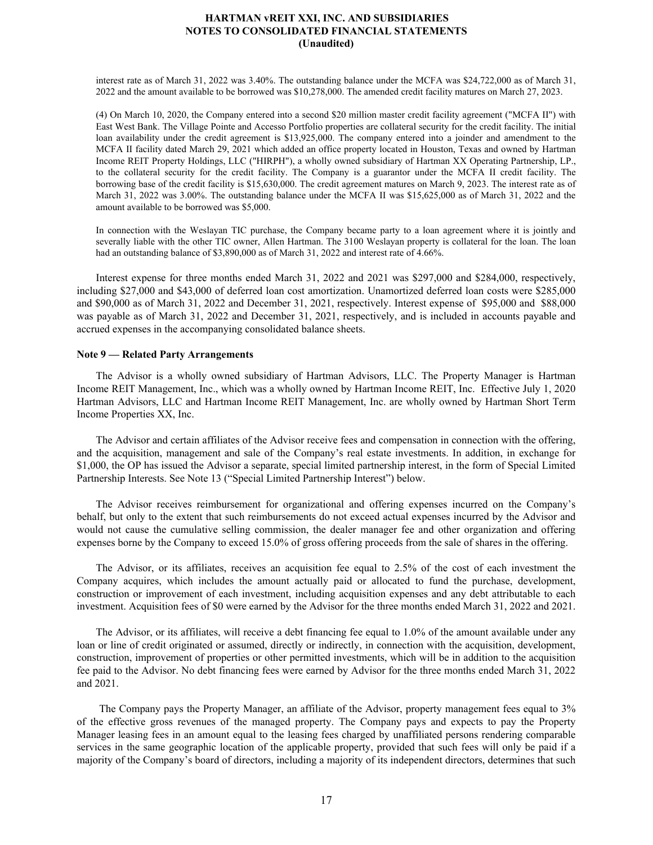interest rate as of March 31, 2022 was 3.40%. The outstanding balance under the MCFA was \$24,722,000 as of March 31, 2022 and the amount available to be borrowed was \$10,278,000. The amended credit facility matures on March 27, 2023.

(4) On March 10, 2020, the Company entered into a second \$20 million master credit facility agreement ("MCFA II") with East West Bank. The Village Pointe and Accesso Portfolio properties are collateral security for the credit facility. The initial loan availability under the credit agreement is \$13,925,000. The company entered into a joinder and amendment to the MCFA II facility dated March 29, 2021 which added an office property located in Houston, Texas and owned by Hartman Income REIT Property Holdings, LLC ("HIRPH"), a wholly owned subsidiary of Hartman XX Operating Partnership, LP., to the collateral security for the credit facility. The Company is a guarantor under the MCFA II credit facility. The borrowing base of the credit facility is \$15,630,000. The credit agreement matures on March 9, 2023. The interest rate as of March 31, 2022 was 3.00%. The outstanding balance under the MCFA II was \$15,625,000 as of March 31, 2022 and the amount available to be borrowed was \$5,000.

In connection with the Weslayan TIC purchase, the Company became party to a loan agreement where it is jointly and severally liable with the other TIC owner, Allen Hartman. The 3100 Weslayan property is collateral for the loan. The loan had an outstanding balance of \$3,890,000 as of March 31, 2022 and interest rate of 4.66%.

Interest expense for three months ended March 31, 2022 and 2021 was \$297,000 and \$284,000, respectively, including \$27,000 and \$43,000 of deferred loan cost amortization. Unamortized deferred loan costs were \$285,000 and \$90,000 as of March 31, 2022 and December 31, 2021, respectively. Interest expense of \$95,000 and \$88,000 was payable as of March 31, 2022 and December 31, 2021, respectively, and is included in accounts payable and accrued expenses in the accompanying consolidated balance sheets.

#### **Note 9 — Related Party Arrangements**

The Advisor is a wholly owned subsidiary of Hartman Advisors, LLC. The Property Manager is Hartman Income REIT Management, Inc., which was a wholly owned by Hartman Income REIT, Inc. Effective July 1, 2020 Hartman Advisors, LLC and Hartman Income REIT Management, Inc. are wholly owned by Hartman Short Term Income Properties XX, Inc.

The Advisor and certain affiliates of the Advisor receive fees and compensation in connection with the offering, and the acquisition, management and sale of the Company's real estate investments. In addition, in exchange for \$1,000, the OP has issued the Advisor a separate, special limited partnership interest, in the form of Special Limited Partnership Interests. See Note 13 ("Special Limited Partnership Interest") below.

The Advisor receives reimbursement for organizational and offering expenses incurred on the Company's behalf, but only to the extent that such reimbursements do not exceed actual expenses incurred by the Advisor and would not cause the cumulative selling commission, the dealer manager fee and other organization and offering expenses borne by the Company to exceed 15.0% of gross offering proceeds from the sale of shares in the offering.

The Advisor, or its affiliates, receives an acquisition fee equal to 2.5% of the cost of each investment the Company acquires, which includes the amount actually paid or allocated to fund the purchase, development, construction or improvement of each investment, including acquisition expenses and any debt attributable to each investment. Acquisition fees of \$0 were earned by the Advisor for the three months ended March 31, 2022 and 2021.

The Advisor, or its affiliates, will receive a debt financing fee equal to 1.0% of the amount available under any loan or line of credit originated or assumed, directly or indirectly, in connection with the acquisition, development, construction, improvement of properties or other permitted investments, which will be in addition to the acquisition fee paid to the Advisor. No debt financing fees were earned by Advisor for the three months ended March 31, 2022 and 2021.

 The Company pays the Property Manager, an affiliate of the Advisor, property management fees equal to 3% of the effective gross revenues of the managed property. The Company pays and expects to pay the Property Manager leasing fees in an amount equal to the leasing fees charged by unaffiliated persons rendering comparable services in the same geographic location of the applicable property, provided that such fees will only be paid if a majority of the Company's board of directors, including a majority of its independent directors, determines that such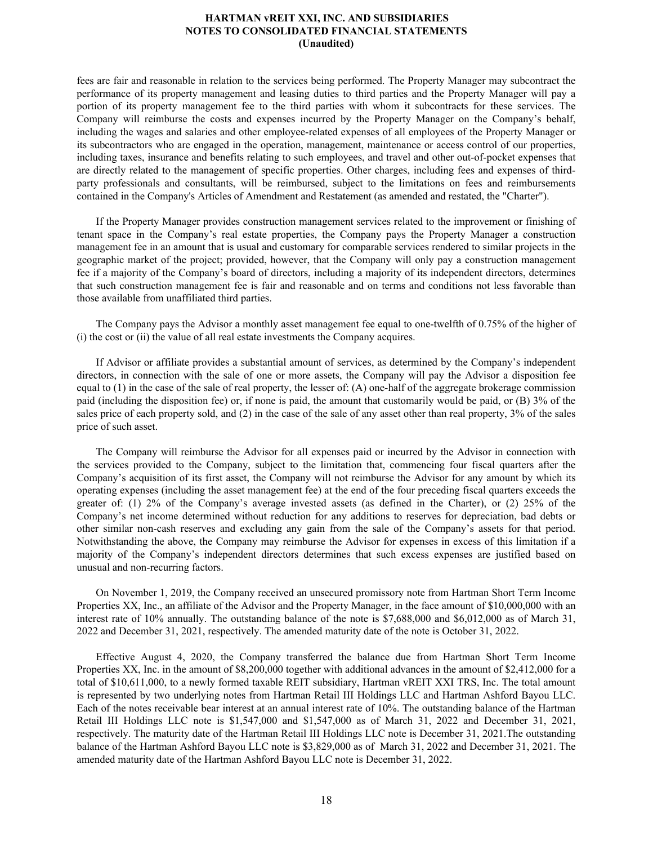fees are fair and reasonable in relation to the services being performed. The Property Manager may subcontract the performance of its property management and leasing duties to third parties and the Property Manager will pay a portion of its property management fee to the third parties with whom it subcontracts for these services. The Company will reimburse the costs and expenses incurred by the Property Manager on the Company's behalf, including the wages and salaries and other employee-related expenses of all employees of the Property Manager or its subcontractors who are engaged in the operation, management, maintenance or access control of our properties, including taxes, insurance and benefits relating to such employees, and travel and other out-of-pocket expenses that are directly related to the management of specific properties. Other charges, including fees and expenses of thirdparty professionals and consultants, will be reimbursed, subject to the limitations on fees and reimbursements contained in the Company's Articles of Amendment and Restatement (as amended and restated, the "Charter").

If the Property Manager provides construction management services related to the improvement or finishing of tenant space in the Company's real estate properties, the Company pays the Property Manager a construction management fee in an amount that is usual and customary for comparable services rendered to similar projects in the geographic market of the project; provided, however, that the Company will only pay a construction management fee if a majority of the Company's board of directors, including a majority of its independent directors, determines that such construction management fee is fair and reasonable and on terms and conditions not less favorable than those available from unaffiliated third parties.

The Company pays the Advisor a monthly asset management fee equal to one-twelfth of 0.75% of the higher of (i) the cost or (ii) the value of all real estate investments the Company acquires.

If Advisor or affiliate provides a substantial amount of services, as determined by the Company's independent directors, in connection with the sale of one or more assets, the Company will pay the Advisor a disposition fee equal to (1) in the case of the sale of real property, the lesser of: (A) one-half of the aggregate brokerage commission paid (including the disposition fee) or, if none is paid, the amount that customarily would be paid, or (B) 3% of the sales price of each property sold, and (2) in the case of the sale of any asset other than real property, 3% of the sales price of such asset.

The Company will reimburse the Advisor for all expenses paid or incurred by the Advisor in connection with the services provided to the Company, subject to the limitation that, commencing four fiscal quarters after the Company's acquisition of its first asset, the Company will not reimburse the Advisor for any amount by which its operating expenses (including the asset management fee) at the end of the four preceding fiscal quarters exceeds the greater of: (1) 2% of the Company's average invested assets (as defined in the Charter), or (2) 25% of the Company's net income determined without reduction for any additions to reserves for depreciation, bad debts or other similar non-cash reserves and excluding any gain from the sale of the Company's assets for that period. Notwithstanding the above, the Company may reimburse the Advisor for expenses in excess of this limitation if a majority of the Company's independent directors determines that such excess expenses are justified based on unusual and non-recurring factors.

On November 1, 2019, the Company received an unsecured promissory note from Hartman Short Term Income Properties XX, Inc., an affiliate of the Advisor and the Property Manager, in the face amount of \$10,000,000 with an interest rate of 10% annually. The outstanding balance of the note is \$7,688,000 and \$6,012,000 as of March 31, 2022 and December 31, 2021, respectively. The amended maturity date of the note is October 31, 2022.

Effective August 4, 2020, the Company transferred the balance due from Hartman Short Term Income Properties XX, Inc. in the amount of \$8,200,000 together with additional advances in the amount of \$2,412,000 for a total of \$10,611,000, to a newly formed taxable REIT subsidiary, Hartman vREIT XXI TRS, Inc. The total amount is represented by two underlying notes from Hartman Retail III Holdings LLC and Hartman Ashford Bayou LLC. Each of the notes receivable bear interest at an annual interest rate of 10%. The outstanding balance of the Hartman Retail III Holdings LLC note is \$1,547,000 and \$1,547,000 as of March 31, 2022 and December 31, 2021, respectively. The maturity date of the Hartman Retail III Holdings LLC note is December 31, 2021.The outstanding balance of the Hartman Ashford Bayou LLC note is \$3,829,000 as of March 31, 2022 and December 31, 2021. The amended maturity date of the Hartman Ashford Bayou LLC note is December 31, 2022.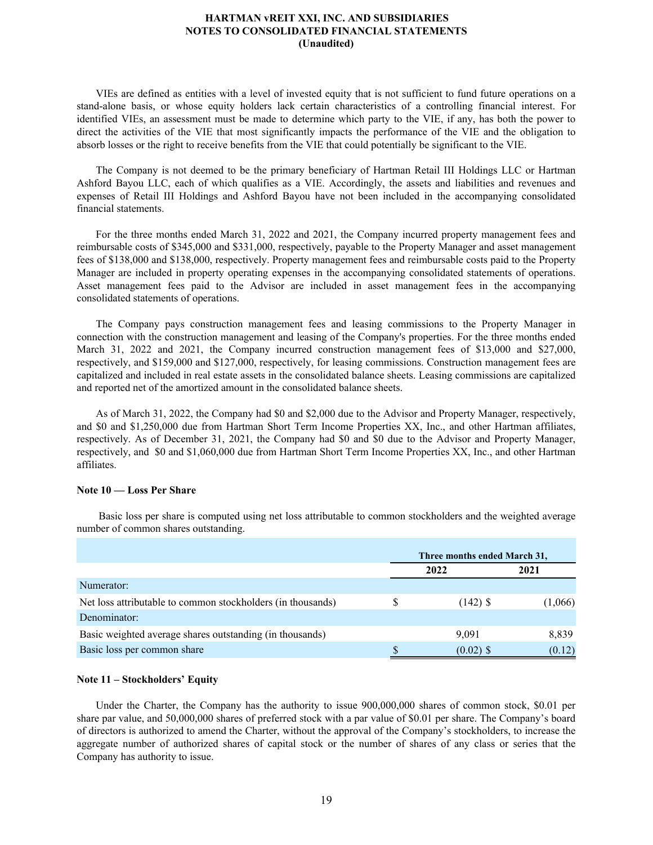VIEs are defined as entities with a level of invested equity that is not sufficient to fund future operations on a stand-alone basis, or whose equity holders lack certain characteristics of a controlling financial interest. For identified VIEs, an assessment must be made to determine which party to the VIE, if any, has both the power to direct the activities of the VIE that most significantly impacts the performance of the VIE and the obligation to absorb losses or the right to receive benefits from the VIE that could potentially be significant to the VIE.

The Company is not deemed to be the primary beneficiary of Hartman Retail III Holdings LLC or Hartman Ashford Bayou LLC, each of which qualifies as a VIE. Accordingly, the assets and liabilities and revenues and expenses of Retail III Holdings and Ashford Bayou have not been included in the accompanying consolidated financial statements.

For the three months ended March 31, 2022 and 2021, the Company incurred property management fees and reimbursable costs of \$345,000 and \$331,000, respectively, payable to the Property Manager and asset management fees of \$138,000 and \$138,000, respectively. Property management fees and reimbursable costs paid to the Property Manager are included in property operating expenses in the accompanying consolidated statements of operations. Asset management fees paid to the Advisor are included in asset management fees in the accompanying consolidated statements of operations.

The Company pays construction management fees and leasing commissions to the Property Manager in connection with the construction management and leasing of the Company's properties. For the three months ended March 31, 2022 and 2021, the Company incurred construction management fees of \$13,000 and \$27,000, respectively, and \$159,000 and \$127,000, respectively, for leasing commissions. Construction management fees are capitalized and included in real estate assets in the consolidated balance sheets. Leasing commissions are capitalized and reported net of the amortized amount in the consolidated balance sheets.

As of March 31, 2022, the Company had \$0 and \$2,000 due to the Advisor and Property Manager, respectively, and \$0 and \$1,250,000 due from Hartman Short Term Income Properties XX, Inc., and other Hartman affiliates, respectively. As of December 31, 2021, the Company had \$0 and \$0 due to the Advisor and Property Manager, respectively, and \$0 and \$1,060,000 due from Hartman Short Term Income Properties XX, Inc., and other Hartman affiliates.

## **Note 10 — Loss Per Share**

 Basic loss per share is computed using net loss attributable to common stockholders and the weighted average number of common shares outstanding.

|                                                             | Three months ended March 31, |         |  |
|-------------------------------------------------------------|------------------------------|---------|--|
|                                                             | 2022                         | 2021    |  |
| Numerator:                                                  |                              |         |  |
| Net loss attributable to common stockholders (in thousands) | $(142)$ \$                   | (1,066) |  |
| Denominator:                                                |                              |         |  |
| Basic weighted average shares outstanding (in thousands)    | 9,091                        | 8,839   |  |
| Basic loss per common share                                 | $(0.02)$ \$                  | (0.12)  |  |

## **Note 11 – Stockholders' Equity**

Under the Charter, the Company has the authority to issue 900,000,000 shares of common stock, \$0.01 per share par value, and 50,000,000 shares of preferred stock with a par value of \$0.01 per share. The Company's board of directors is authorized to amend the Charter, without the approval of the Company's stockholders, to increase the aggregate number of authorized shares of capital stock or the number of shares of any class or series that the Company has authority to issue.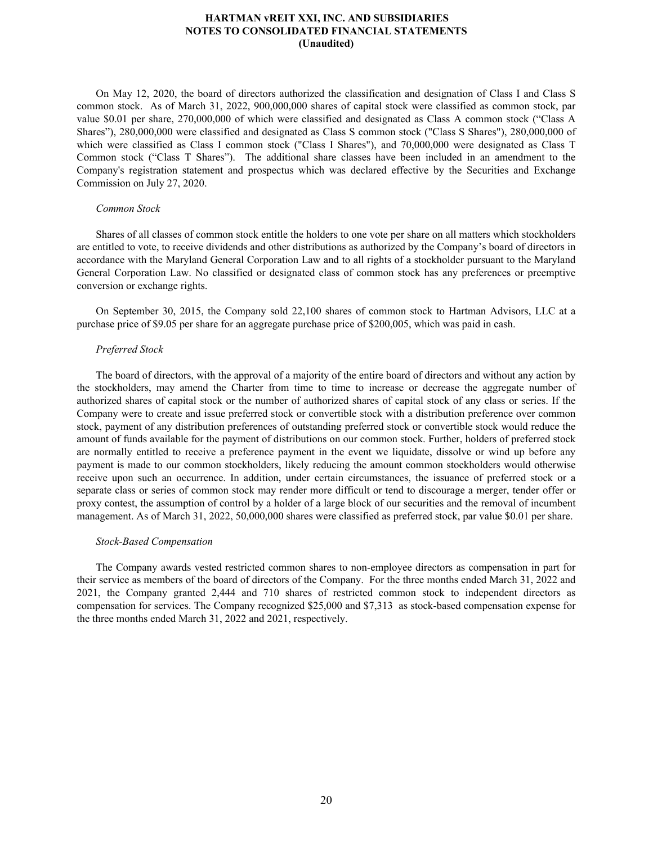On May 12, 2020, the board of directors authorized the classification and designation of Class I and Class S common stock. As of March 31, 2022, 900,000,000 shares of capital stock were classified as common stock, par value \$0.01 per share, 270,000,000 of which were classified and designated as Class A common stock ("Class A Shares"), 280,000,000 were classified and designated as Class S common stock ("Class S Shares"), 280,000,000 of which were classified as Class I common stock ("Class I Shares"), and 70,000,000 were designated as Class T Common stock ("Class T Shares"). The additional share classes have been included in an amendment to the Company's registration statement and prospectus which was declared effective by the Securities and Exchange Commission on July 27, 2020.

#### *Common Stock*

Shares of all classes of common stock entitle the holders to one vote per share on all matters which stockholders are entitled to vote, to receive dividends and other distributions as authorized by the Company's board of directors in accordance with the Maryland General Corporation Law and to all rights of a stockholder pursuant to the Maryland General Corporation Law. No classified or designated class of common stock has any preferences or preemptive conversion or exchange rights.

On September 30, 2015, the Company sold 22,100 shares of common stock to Hartman Advisors, LLC at a purchase price of \$9.05 per share for an aggregate purchase price of \$200,005, which was paid in cash.

## *Preferred Stock*

The board of directors, with the approval of a majority of the entire board of directors and without any action by the stockholders, may amend the Charter from time to time to increase or decrease the aggregate number of authorized shares of capital stock or the number of authorized shares of capital stock of any class or series. If the Company were to create and issue preferred stock or convertible stock with a distribution preference over common stock, payment of any distribution preferences of outstanding preferred stock or convertible stock would reduce the amount of funds available for the payment of distributions on our common stock. Further, holders of preferred stock are normally entitled to receive a preference payment in the event we liquidate, dissolve or wind up before any payment is made to our common stockholders, likely reducing the amount common stockholders would otherwise receive upon such an occurrence. In addition, under certain circumstances, the issuance of preferred stock or a separate class or series of common stock may render more difficult or tend to discourage a merger, tender offer or proxy contest, the assumption of control by a holder of a large block of our securities and the removal of incumbent management. As of March 31, 2022, 50,000,000 shares were classified as preferred stock, par value \$0.01 per share.

#### *Stock-Based Compensation*

The Company awards vested restricted common shares to non-employee directors as compensation in part for their service as members of the board of directors of the Company. For the three months ended March 31, 2022 and 2021, the Company granted 2,444 and 710 shares of restricted common stock to independent directors as compensation for services. The Company recognized \$25,000 and \$7,313 as stock-based compensation expense for the three months ended March 31, 2022 and 2021, respectively.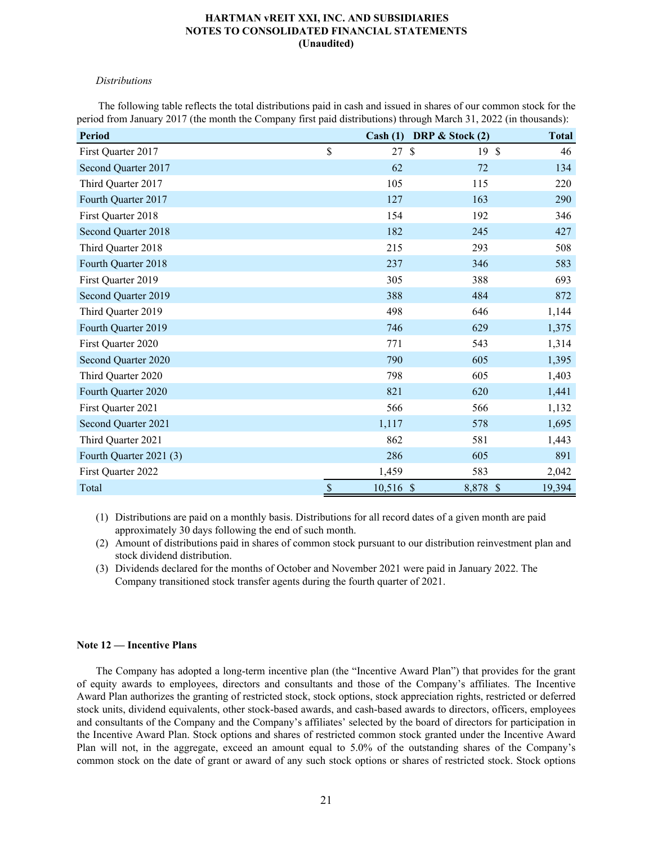## *Distributions*

 The following table reflects the total distributions paid in cash and issued in shares of our common stock for the period from January 2017 (the month the Company first paid distributions) through March 31, 2022 (in thousands):

| <b>Period</b>           | Cash (1)                          | DRP $\&$ Stock (2)   | <b>Total</b> |
|-------------------------|-----------------------------------|----------------------|--------------|
| First Quarter 2017      | \$<br>27                          | $\mathcal{S}$<br>19S | 46           |
| Second Quarter 2017     | 62                                | 72                   | 134          |
| Third Quarter 2017      | 105                               | 115                  | 220          |
| Fourth Quarter 2017     | 127                               | 163                  | 290          |
| First Quarter 2018      | 154                               | 192                  | 346          |
| Second Quarter 2018     | 182                               | 245                  | 427          |
| Third Quarter 2018      | 215                               | 293                  | 508          |
| Fourth Quarter 2018     | 237                               | 346                  | 583          |
| First Quarter 2019      | 305                               | 388                  | 693          |
| Second Quarter 2019     | 388                               | 484                  | 872          |
| Third Quarter 2019      | 498                               | 646                  | 1,144        |
| Fourth Quarter 2019     | 746                               | 629                  | 1,375        |
| First Quarter 2020      | 771                               | 543                  | 1,314        |
| Second Quarter 2020     | 790                               | 605                  | 1,395        |
| Third Quarter 2020      | 798                               | 605                  | 1,403        |
| Fourth Quarter 2020     | 821                               | 620                  | 1,441        |
| First Quarter 2021      | 566                               | 566                  | 1,132        |
| Second Quarter 2021     | 1,117                             | 578                  | 1,695        |
| Third Quarter 2021      | 862                               | 581                  | 1,443        |
| Fourth Quarter 2021 (3) | 286                               | 605                  | 891          |
| First Quarter 2022      | 1,459                             | 583                  | 2,042        |
| Total                   | $\frac{S}{\sqrt{2}}$<br>10,516 \$ | 8,878 \$             | 19,394       |

(1) Distributions are paid on a monthly basis. Distributions for all record dates of a given month are paid approximately 30 days following the end of such month.

(2) Amount of distributions paid in shares of common stock pursuant to our distribution reinvestment plan and stock dividend distribution.

(3) Dividends declared for the months of October and November 2021 were paid in January 2022. The Company transitioned stock transfer agents during the fourth quarter of 2021.

## **Note 12 — Incentive Plans**

The Company has adopted a long-term incentive plan (the "Incentive Award Plan") that provides for the grant of equity awards to employees, directors and consultants and those of the Company's affiliates. The Incentive Award Plan authorizes the granting of restricted stock, stock options, stock appreciation rights, restricted or deferred stock units, dividend equivalents, other stock-based awards, and cash-based awards to directors, officers, employees and consultants of the Company and the Company's affiliates' selected by the board of directors for participation in the Incentive Award Plan. Stock options and shares of restricted common stock granted under the Incentive Award Plan will not, in the aggregate, exceed an amount equal to 5.0% of the outstanding shares of the Company's common stock on the date of grant or award of any such stock options or shares of restricted stock. Stock options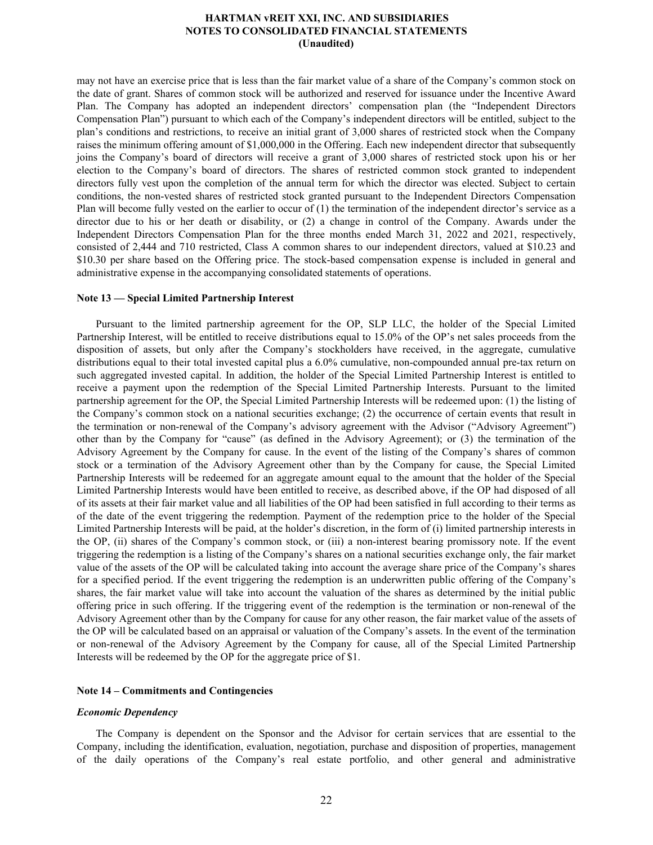may not have an exercise price that is less than the fair market value of a share of the Company's common stock on the date of grant. Shares of common stock will be authorized and reserved for issuance under the Incentive Award Plan. The Company has adopted an independent directors' compensation plan (the "Independent Directors Compensation Plan") pursuant to which each of the Company's independent directors will be entitled, subject to the plan's conditions and restrictions, to receive an initial grant of 3,000 shares of restricted stock when the Company raises the minimum offering amount of \$1,000,000 in the Offering. Each new independent director that subsequently joins the Company's board of directors will receive a grant of 3,000 shares of restricted stock upon his or her election to the Company's board of directors. The shares of restricted common stock granted to independent directors fully vest upon the completion of the annual term for which the director was elected. Subject to certain conditions, the non-vested shares of restricted stock granted pursuant to the Independent Directors Compensation Plan will become fully vested on the earlier to occur of (1) the termination of the independent director's service as a director due to his or her death or disability, or (2) a change in control of the Company. Awards under the Independent Directors Compensation Plan for the three months ended March 31, 2022 and 2021, respectively, consisted of 2,444 and 710 restricted, Class A common shares to our independent directors, valued at \$10.23 and \$10.30 per share based on the Offering price. The stock-based compensation expense is included in general and administrative expense in the accompanying consolidated statements of operations.

## **Note 13 — Special Limited Partnership Interest**

Pursuant to the limited partnership agreement for the OP, SLP LLC, the holder of the Special Limited Partnership Interest, will be entitled to receive distributions equal to 15.0% of the OP's net sales proceeds from the disposition of assets, but only after the Company's stockholders have received, in the aggregate, cumulative distributions equal to their total invested capital plus a 6.0% cumulative, non-compounded annual pre-tax return on such aggregated invested capital. In addition, the holder of the Special Limited Partnership Interest is entitled to receive a payment upon the redemption of the Special Limited Partnership Interests. Pursuant to the limited partnership agreement for the OP, the Special Limited Partnership Interests will be redeemed upon: (1) the listing of the Company's common stock on a national securities exchange; (2) the occurrence of certain events that result in the termination or non-renewal of the Company's advisory agreement with the Advisor ("Advisory Agreement") other than by the Company for "cause" (as defined in the Advisory Agreement); or (3) the termination of the Advisory Agreement by the Company for cause. In the event of the listing of the Company's shares of common stock or a termination of the Advisory Agreement other than by the Company for cause, the Special Limited Partnership Interests will be redeemed for an aggregate amount equal to the amount that the holder of the Special Limited Partnership Interests would have been entitled to receive, as described above, if the OP had disposed of all of its assets at their fair market value and all liabilities of the OP had been satisfied in full according to their terms as of the date of the event triggering the redemption. Payment of the redemption price to the holder of the Special Limited Partnership Interests will be paid, at the holder's discretion, in the form of (i) limited partnership interests in the OP, (ii) shares of the Company's common stock, or (iii) a non-interest bearing promissory note. If the event triggering the redemption is a listing of the Company's shares on a national securities exchange only, the fair market value of the assets of the OP will be calculated taking into account the average share price of the Company's shares for a specified period. If the event triggering the redemption is an underwritten public offering of the Company's shares, the fair market value will take into account the valuation of the shares as determined by the initial public offering price in such offering. If the triggering event of the redemption is the termination or non-renewal of the Advisory Agreement other than by the Company for cause for any other reason, the fair market value of the assets of the OP will be calculated based on an appraisal or valuation of the Company's assets. In the event of the termination or non-renewal of the Advisory Agreement by the Company for cause, all of the Special Limited Partnership Interests will be redeemed by the OP for the aggregate price of \$1.

#### **Note 14 – Commitments and Contingencies**

#### *Economic Dependency*

The Company is dependent on the Sponsor and the Advisor for certain services that are essential to the Company, including the identification, evaluation, negotiation, purchase and disposition of properties, management of the daily operations of the Company's real estate portfolio, and other general and administrative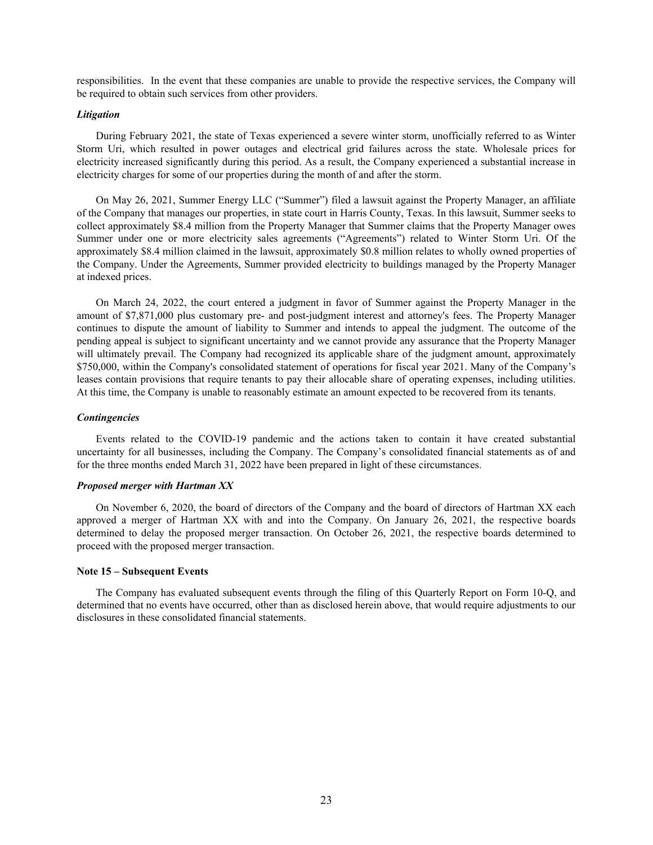responsibilities. In the event that these companies are unable to provide the respective services, the Company will be required to obtain such services from other providers.

#### *Litigation*

During February 2021, the state of Texas experienced a severe winter storm, unofficially referred to as Winter Storm Uri, which resulted in power outages and electrical grid failures across the state. Wholesale prices for electricity increased significantly during this period. As a result, the Company experienced a substantial increase in electricity charges for some of our properties during the month of and after the storm.

On May 26, 2021, Summer Energy LLC ("Summer") filed a lawsuit against the Property Manager, an affiliate of the Company that manages our properties, in state court in Harris County, Texas. In this lawsuit, Summer seeks to collect approximately \$8.4 million from the Property Manager that Summer claims that the Property Manager owes Summer under one or more electricity sales agreements ("Agreements") related to Winter Storm Uri. Of the approximately \$8.4 million claimed in the lawsuit, approximately \$0.8 million relates to wholly owned properties of the Company. Under the Agreements, Summer provided electricity to buildings managed by the Property Manager at indexed prices.

On March 24, 2022, the court entered a judgment in favor of Summer against the Property Manager in the amount of \$7,871,000 plus customary pre- and post-judgment interest and attorney's fees. The Property Manager continues to dispute the amount of liability to Summer and intends to appeal the judgment. The outcome of the pending appeal is subject to significant uncertainty and we cannot provide any assurance that the Property Manager will ultimately prevail. The Company had recognized its applicable share of the judgment amount, approximately \$750,000, within the Company's consolidated statement of operations for fiscal year 2021. Many of the Company's leases contain provisions that require tenants to pay their allocable share of operating expenses, including utilities. At this time, the Company is unable to reasonably estimate an amount expected to be recovered from its tenants.

## *Contingencies*

Events related to the COVID-19 pandemic and the actions taken to contain it have created substantial uncertainty for all businesses, including the Company. The Company's consolidated financial statements as of and for the three months ended March 31, 2022 have been prepared in light of these circumstances.

## *Proposed merger with Hartman XX*

On November 6, 2020, the board of directors of the Company and the board of directors of Hartman XX each approved a merger of Hartman XX with and into the Company. On January 26, 2021, the respective boards determined to delay the proposed merger transaction. On October 26, 2021, the respective boards determined to proceed with the proposed merger transaction.

#### **Note 15 – Subsequent Events**

The Company has evaluated subsequent events through the filing of this Quarterly Report on Form 10-Q, and determined that no events have occurred, other than as disclosed herein above, that would require adjustments to our disclosures in these consolidated financial statements.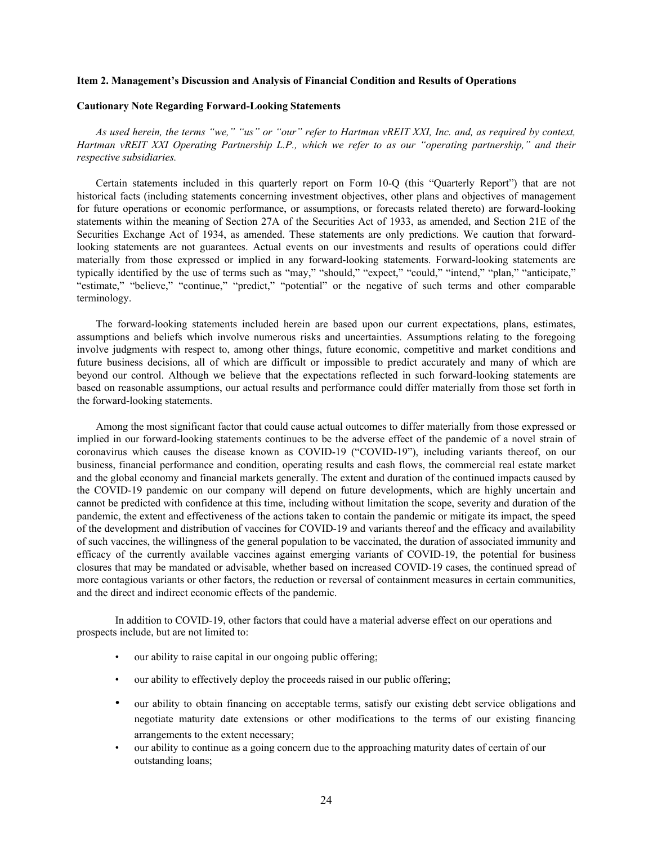#### <span id="page-25-0"></span>**Item 2. Management's Discussion and Analysis of Financial Condition and Results of Operations**

## **Cautionary Note Regarding Forward-Looking Statements**

*As used herein, the terms "we," "us" or "our" refer to Hartman vREIT XXI, Inc. and, as required by context, Hartman vREIT XXI Operating Partnership L.P., which we refer to as our "operating partnership," and their respective subsidiaries.*

Certain statements included in this quarterly report on Form 10-Q (this "Quarterly Report") that are not historical facts (including statements concerning investment objectives, other plans and objectives of management for future operations or economic performance, or assumptions, or forecasts related thereto) are forward-looking statements within the meaning of Section 27A of the Securities Act of 1933, as amended, and Section 21E of the Securities Exchange Act of 1934, as amended. These statements are only predictions. We caution that forwardlooking statements are not guarantees. Actual events on our investments and results of operations could differ materially from those expressed or implied in any forward-looking statements. Forward-looking statements are typically identified by the use of terms such as "may," "should," "expect," "could," "intend," "plan," "anticipate," "estimate," "believe," "continue," "predict," "potential" or the negative of such terms and other comparable terminology.

The forward-looking statements included herein are based upon our current expectations, plans, estimates, assumptions and beliefs which involve numerous risks and uncertainties. Assumptions relating to the foregoing involve judgments with respect to, among other things, future economic, competitive and market conditions and future business decisions, all of which are difficult or impossible to predict accurately and many of which are beyond our control. Although we believe that the expectations reflected in such forward-looking statements are based on reasonable assumptions, our actual results and performance could differ materially from those set forth in the forward-looking statements.

Among the most significant factor that could cause actual outcomes to differ materially from those expressed or implied in our forward-looking statements continues to be the adverse effect of the pandemic of a novel strain of coronavirus which causes the disease known as COVID-19 ("COVID-19"), including variants thereof, on our business, financial performance and condition, operating results and cash flows, the commercial real estate market and the global economy and financial markets generally. The extent and duration of the continued impacts caused by the COVID-19 pandemic on our company will depend on future developments, which are highly uncertain and cannot be predicted with confidence at this time, including without limitation the scope, severity and duration of the pandemic, the extent and effectiveness of the actions taken to contain the pandemic or mitigate its impact, the speed of the development and distribution of vaccines for COVID-19 and variants thereof and the efficacy and availability of such vaccines, the willingness of the general population to be vaccinated, the duration of associated immunity and efficacy of the currently available vaccines against emerging variants of COVID-19, the potential for business closures that may be mandated or advisable, whether based on increased COVID-19 cases, the continued spread of more contagious variants or other factors, the reduction or reversal of containment measures in certain communities, and the direct and indirect economic effects of the pandemic.

In addition to COVID-19, other factors that could have a material adverse effect on our operations and prospects include, but are not limited to:

- our ability to raise capital in our ongoing public offering;
- our ability to effectively deploy the proceeds raised in our public offering;
- our ability to obtain financing on acceptable terms, satisfy our existing debt service obligations and negotiate maturity date extensions or other modifications to the terms of our existing financing arrangements to the extent necessary;
- our ability to continue as a going concern due to the approaching maturity dates of certain of our outstanding loans;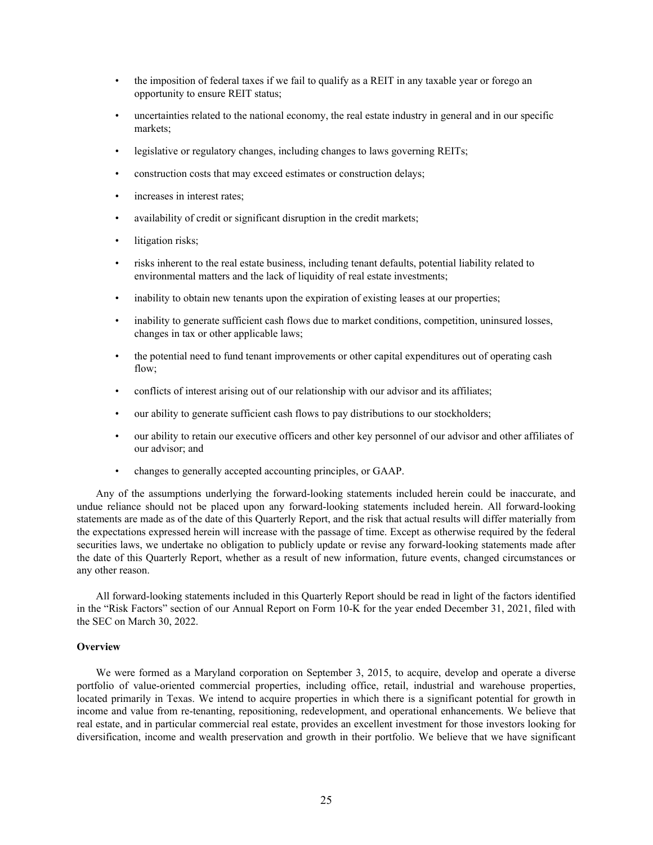- the imposition of federal taxes if we fail to qualify as a REIT in any taxable year or forego an opportunity to ensure REIT status;
- uncertainties related to the national economy, the real estate industry in general and in our specific markets;
- legislative or regulatory changes, including changes to laws governing REITs;
- construction costs that may exceed estimates or construction delays;
- increases in interest rates:
- availability of credit or significant disruption in the credit markets;
- litigation risks;
- risks inherent to the real estate business, including tenant defaults, potential liability related to environmental matters and the lack of liquidity of real estate investments;
- inability to obtain new tenants upon the expiration of existing leases at our properties;
- inability to generate sufficient cash flows due to market conditions, competition, uninsured losses, changes in tax or other applicable laws;
- the potential need to fund tenant improvements or other capital expenditures out of operating cash flow;
- conflicts of interest arising out of our relationship with our advisor and its affiliates;
- our ability to generate sufficient cash flows to pay distributions to our stockholders;
- our ability to retain our executive officers and other key personnel of our advisor and other affiliates of our advisor; and
- changes to generally accepted accounting principles, or GAAP.

Any of the assumptions underlying the forward-looking statements included herein could be inaccurate, and undue reliance should not be placed upon any forward-looking statements included herein. All forward-looking statements are made as of the date of this Quarterly Report, and the risk that actual results will differ materially from the expectations expressed herein will increase with the passage of time. Except as otherwise required by the federal securities laws, we undertake no obligation to publicly update or revise any forward-looking statements made after the date of this Quarterly Report, whether as a result of new information, future events, changed circumstances or any other reason.

All forward-looking statements included in this Quarterly Report should be read in light of the factors identified in the "Risk Factors" section of our Annual Report on Form 10-K for the year ended December 31, 2021, filed with the SEC on March 30, 2022.

## **Overview**

We were formed as a Maryland corporation on September 3, 2015, to acquire, develop and operate a diverse portfolio of value-oriented commercial properties, including office, retail, industrial and warehouse properties, located primarily in Texas. We intend to acquire properties in which there is a significant potential for growth in income and value from re-tenanting, repositioning, redevelopment, and operational enhancements. We believe that real estate, and in particular commercial real estate, provides an excellent investment for those investors looking for diversification, income and wealth preservation and growth in their portfolio. We believe that we have significant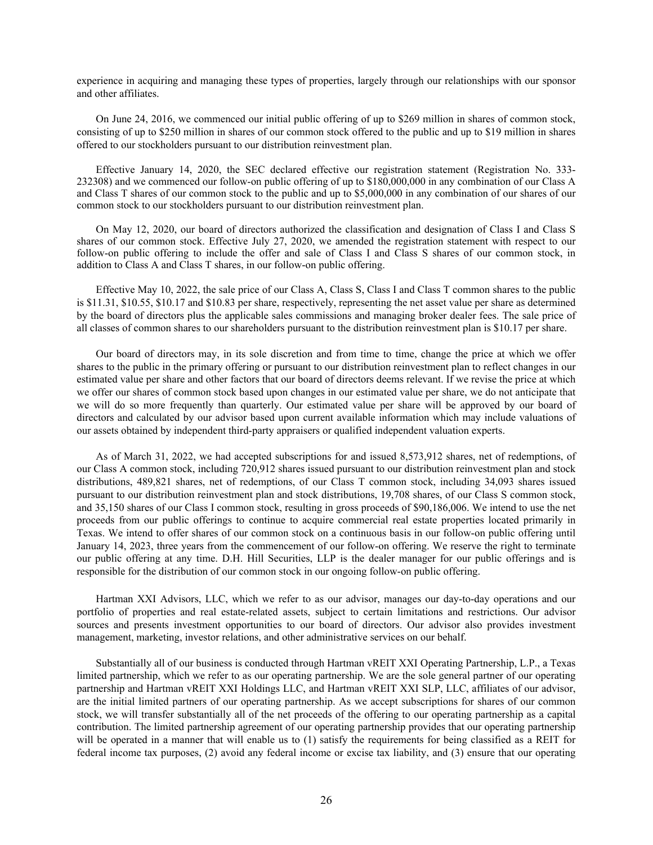experience in acquiring and managing these types of properties, largely through our relationships with our sponsor and other affiliates.

On June 24, 2016, we commenced our initial public offering of up to \$269 million in shares of common stock, consisting of up to \$250 million in shares of our common stock offered to the public and up to \$19 million in shares offered to our stockholders pursuant to our distribution reinvestment plan.

Effective January 14, 2020, the SEC declared effective our registration statement (Registration No. 333- 232308) and we commenced our follow-on public offering of up to \$180,000,000 in any combination of our Class A and Class T shares of our common stock to the public and up to \$5,000,000 in any combination of our shares of our common stock to our stockholders pursuant to our distribution reinvestment plan.

On May 12, 2020, our board of directors authorized the classification and designation of Class I and Class S shares of our common stock. Effective July 27, 2020, we amended the registration statement with respect to our follow-on public offering to include the offer and sale of Class I and Class S shares of our common stock, in addition to Class A and Class T shares, in our follow-on public offering.

Effective May 10, 2022, the sale price of our Class A, Class S, Class I and Class T common shares to the public is \$11.31, \$10.55, \$10.17 and \$10.83 per share, respectively, representing the net asset value per share as determined by the board of directors plus the applicable sales commissions and managing broker dealer fees. The sale price of all classes of common shares to our shareholders pursuant to the distribution reinvestment plan is \$10.17 per share.

Our board of directors may, in its sole discretion and from time to time, change the price at which we offer shares to the public in the primary offering or pursuant to our distribution reinvestment plan to reflect changes in our estimated value per share and other factors that our board of directors deems relevant. If we revise the price at which we offer our shares of common stock based upon changes in our estimated value per share, we do not anticipate that we will do so more frequently than quarterly. Our estimated value per share will be approved by our board of directors and calculated by our advisor based upon current available information which may include valuations of our assets obtained by independent third-party appraisers or qualified independent valuation experts.

As of March 31, 2022, we had accepted subscriptions for and issued 8,573,912 shares, net of redemptions, of our Class A common stock, including 720,912 shares issued pursuant to our distribution reinvestment plan and stock distributions, 489,821 shares, net of redemptions, of our Class T common stock, including 34,093 shares issued pursuant to our distribution reinvestment plan and stock distributions, 19,708 shares, of our Class S common stock, and 35,150 shares of our Class I common stock, resulting in gross proceeds of \$90,186,006. We intend to use the net proceeds from our public offerings to continue to acquire commercial real estate properties located primarily in Texas. We intend to offer shares of our common stock on a continuous basis in our follow-on public offering until January 14, 2023, three years from the commencement of our follow-on offering. We reserve the right to terminate our public offering at any time. D.H. Hill Securities, LLP is the dealer manager for our public offerings and is responsible for the distribution of our common stock in our ongoing follow-on public offering.

Hartman XXI Advisors, LLC, which we refer to as our advisor, manages our day-to-day operations and our portfolio of properties and real estate-related assets, subject to certain limitations and restrictions. Our advisor sources and presents investment opportunities to our board of directors. Our advisor also provides investment management, marketing, investor relations, and other administrative services on our behalf.

Substantially all of our business is conducted through Hartman vREIT XXI Operating Partnership, L.P., a Texas limited partnership, which we refer to as our operating partnership. We are the sole general partner of our operating partnership and Hartman vREIT XXI Holdings LLC, and Hartman vREIT XXI SLP, LLC, affiliates of our advisor, are the initial limited partners of our operating partnership. As we accept subscriptions for shares of our common stock, we will transfer substantially all of the net proceeds of the offering to our operating partnership as a capital contribution. The limited partnership agreement of our operating partnership provides that our operating partnership will be operated in a manner that will enable us to (1) satisfy the requirements for being classified as a REIT for federal income tax purposes, (2) avoid any federal income or excise tax liability, and (3) ensure that our operating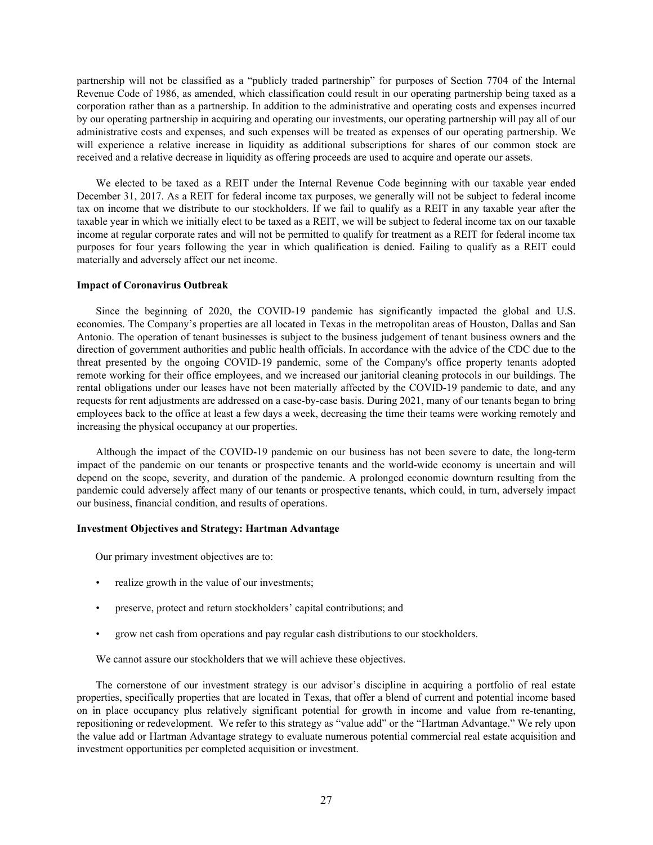partnership will not be classified as a "publicly traded partnership" for purposes of Section 7704 of the Internal Revenue Code of 1986, as amended, which classification could result in our operating partnership being taxed as a corporation rather than as a partnership. In addition to the administrative and operating costs and expenses incurred by our operating partnership in acquiring and operating our investments, our operating partnership will pay all of our administrative costs and expenses, and such expenses will be treated as expenses of our operating partnership. We will experience a relative increase in liquidity as additional subscriptions for shares of our common stock are received and a relative decrease in liquidity as offering proceeds are used to acquire and operate our assets.

We elected to be taxed as a REIT under the Internal Revenue Code beginning with our taxable year ended December 31, 2017. As a REIT for federal income tax purposes, we generally will not be subject to federal income tax on income that we distribute to our stockholders. If we fail to qualify as a REIT in any taxable year after the taxable year in which we initially elect to be taxed as a REIT, we will be subject to federal income tax on our taxable income at regular corporate rates and will not be permitted to qualify for treatment as a REIT for federal income tax purposes for four years following the year in which qualification is denied. Failing to qualify as a REIT could materially and adversely affect our net income.

## **Impact of Coronavirus Outbreak**

Since the beginning of 2020, the COVID-19 pandemic has significantly impacted the global and U.S. economies. The Company's properties are all located in Texas in the metropolitan areas of Houston, Dallas and San Antonio. The operation of tenant businesses is subject to the business judgement of tenant business owners and the direction of government authorities and public health officials. In accordance with the advice of the CDC due to the threat presented by the ongoing COVID-19 pandemic, some of the Company's office property tenants adopted remote working for their office employees, and we increased our janitorial cleaning protocols in our buildings. The rental obligations under our leases have not been materially affected by the COVID-19 pandemic to date, and any requests for rent adjustments are addressed on a case-by-case basis. During 2021, many of our tenants began to bring employees back to the office at least a few days a week, decreasing the time their teams were working remotely and increasing the physical occupancy at our properties.

Although the impact of the COVID-19 pandemic on our business has not been severe to date, the long-term impact of the pandemic on our tenants or prospective tenants and the world-wide economy is uncertain and will depend on the scope, severity, and duration of the pandemic. A prolonged economic downturn resulting from the pandemic could adversely affect many of our tenants or prospective tenants, which could, in turn, adversely impact our business, financial condition, and results of operations.

## **Investment Objectives and Strategy: Hartman Advantage**

Our primary investment objectives are to:

- realize growth in the value of our investments;
- preserve, protect and return stockholders' capital contributions; and
- grow net cash from operations and pay regular cash distributions to our stockholders.

We cannot assure our stockholders that we will achieve these objectives.

The cornerstone of our investment strategy is our advisor's discipline in acquiring a portfolio of real estate properties, specifically properties that are located in Texas, that offer a blend of current and potential income based on in place occupancy plus relatively significant potential for growth in income and value from re-tenanting, repositioning or redevelopment. We refer to this strategy as "value add" or the "Hartman Advantage." We rely upon the value add or Hartman Advantage strategy to evaluate numerous potential commercial real estate acquisition and investment opportunities per completed acquisition or investment.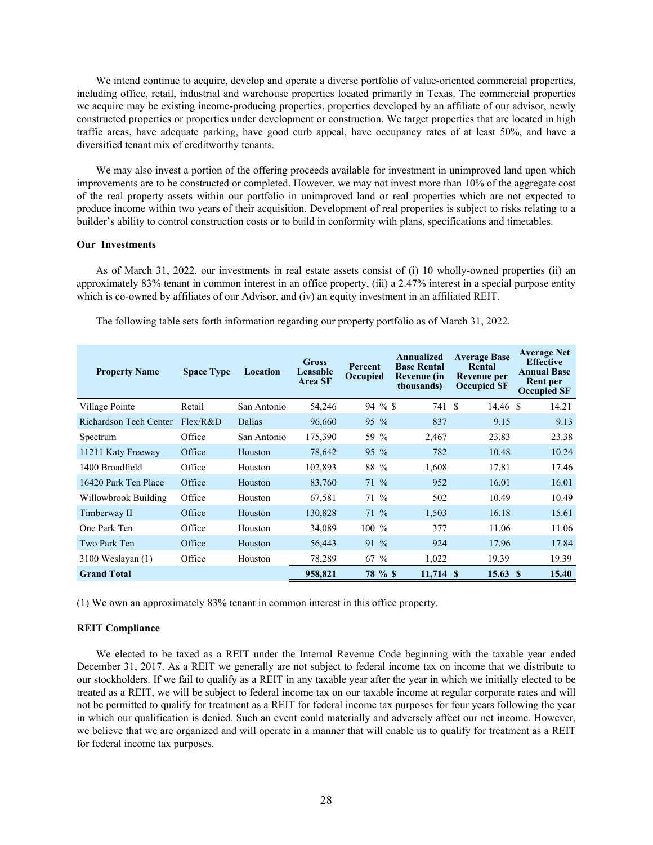We intend continue to acquire, develop and operate a diverse portfolio of value-oriented commercial properties, including office, retail, industrial and warehouse properties located primarily in Texas. The commercial properties we acquire may be existing income-producing properties, properties developed by an affiliate of our advisor, newly constructed properties or properties under development or construction. We target properties that are located in high traffic areas, have adequate parking, have good curb appeal, have occupancy rates of at least 50%, and have a diversified tenant mix of creditworthy tenants.

We may also invest a portion of the offering proceeds available for investment in unimproved land upon which improvements are to be constructed or completed. However, we may not invest more than 10% of the aggregate cost of the real property assets within our portfolio in unimproved land or real properties which are not expected to produce income within two years of their acquisition. Development of real properties is subject to risks relating to a builder's ability to control construction costs or to build in conformity with plans, specifications and timetables.

#### **Our Investments**

As of March 31, 2022, our investments in real estate assets consist of (i) 10 wholly-owned properties (ii) an approximately 83% tenant in common interest in an office property, (iii) a 2.47% interest in a special purpose entity which is co-owned by affiliates of our Advisor, and (iv) an equity investment in an affiliated REIT.

| <b>Property Name</b>          | <b>Space Type</b> | Location    | <b>Gross</b><br>Leasable<br><b>Area SF</b> | Percent<br>Occupied | Annualized<br><b>Base Rental</b><br>Revenue (in<br>thousands) | <b>Average Base</b><br>Rental<br>Revenue per<br><b>Occupied SF</b> | <b>Average Net</b><br><b>Effective</b><br><b>Annual Base</b><br><b>Rent per</b><br><b>Occupied SF</b> |
|-------------------------------|-------------------|-------------|--------------------------------------------|---------------------|---------------------------------------------------------------|--------------------------------------------------------------------|-------------------------------------------------------------------------------------------------------|
| Village Pointe                | Retail            | San Antonio | 54,246                                     | $94 \%$             | 741 S                                                         | $14.46$ \$                                                         | 14.21                                                                                                 |
| <b>Richardson Tech Center</b> | Flex/R&D          | Dallas      | 96,660                                     | $95\%$              | 837                                                           | 9.15                                                               | 9.13                                                                                                  |
| Spectrum                      | Office            | San Antonio | 175,390                                    | 59 %                | 2,467                                                         | 23.83                                                              | 23.38                                                                                                 |
| 11211 Katy Freeway            | Office            | Houston     | 78,642                                     | 95 %                | 782                                                           | 10.48                                                              | 10.24                                                                                                 |
| 1400 Broadfield               | Office            | Houston     | 102,893                                    | 88 %                | 1,608                                                         | 17.81                                                              | 17.46                                                                                                 |
| 16420 Park Ten Place          | Office            | Houston     | 83,760                                     | $71\%$              | 952                                                           | 16.01                                                              | 16.01                                                                                                 |
| Willowbrook Building          | Office            | Houston     | 67,581                                     | $71\%$              | 502                                                           | 10.49                                                              | 10.49                                                                                                 |
| Timberway II                  | Office            | Houston     | 130,828                                    | $71\%$              | 1,503                                                         | 16.18                                                              | 15.61                                                                                                 |
| One Park Ten                  | Office            | Houston     | 34,089                                     | $100\%$             | 377                                                           | 11.06                                                              | 11.06                                                                                                 |
| Two Park Ten                  | Office            | Houston     | 56,443                                     | $91\%$              | 924                                                           | 17.96                                                              | 17.84                                                                                                 |
| $3100$ Weslayan $(1)$         | Office            | Houston     | 78,289                                     | $67\%$              | 1,022                                                         | 19.39                                                              | 19.39                                                                                                 |
| <b>Grand Total</b>            |                   |             | 958,821                                    | 78 % \$             | 11,714 \$                                                     | $15.63 \text{ }$ \$                                                | 15.40                                                                                                 |

The following table sets forth information regarding our property portfolio as of March 31, 2022.

(1) We own an approximately 83% tenant in common interest in this office property.

## **REIT Compliance**

We elected to be taxed as a REIT under the Internal Revenue Code beginning with the taxable year ended December 31, 2017. As a REIT we generally are not subject to federal income tax on income that we distribute to our stockholders. If we fail to qualify as a REIT in any taxable year after the year in which we initially elected to be treated as a REIT, we will be subject to federal income tax on our taxable income at regular corporate rates and will not be permitted to qualify for treatment as a REIT for federal income tax purposes for four years following the year in which our qualification is denied. Such an event could materially and adversely affect our net income. However, we believe that we are organized and will operate in a manner that will enable us to qualify for treatment as a REIT for federal income tax purposes.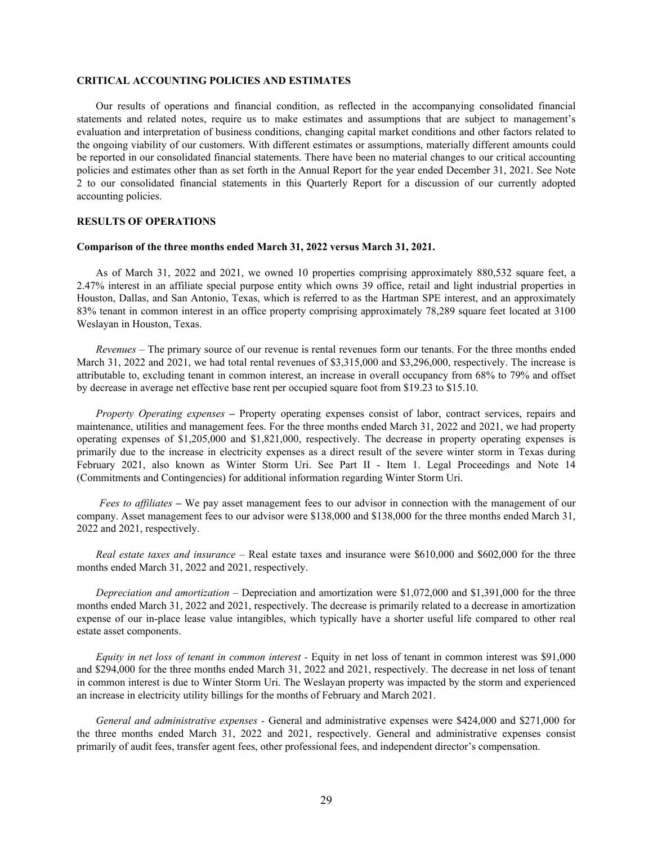#### **CRITICAL ACCOUNTING POLICIES AND ESTIMATES**

Our results of operations and financial condition, as reflected in the accompanying consolidated financial statements and related notes, require us to make estimates and assumptions that are subject to management's evaluation and interpretation of business conditions, changing capital market conditions and other factors related to the ongoing viability of our customers. With different estimates or assumptions, materially different amounts could be reported in our consolidated financial statements. There have been no material changes to our critical accounting policies and estimates other than as set forth in the Annual Report for the year ended December 31, 2021. See Note 2 to our consolidated financial statements in this Quarterly Report for a discussion of our currently adopted accounting policies.

## **RESULTS OF OPERATIONS**

## **Comparison of the three months ended March 31, 2022 versus March 31, 2021.**

As of March 31, 2022 and 2021, we owned 10 properties comprising approximately 880,532 square feet, a 2.47% interest in an affiliate special purpose entity which owns 39 office, retail and light industrial properties in Houston, Dallas, and San Antonio, Texas, which is referred to as the Hartman SPE interest, and an approximately 83% tenant in common interest in an office property comprising approximately 78,289 square feet located at 3100 Weslayan in Houston, Texas.

*Revenues –* The primary source of our revenue is rental revenues form our tenants. For the three months ended March 31, 2022 and 2021, we had total rental revenues of \$3,315,000 and \$3,296,000, respectively. The increase is attributable to, excluding tenant in common interest, an increase in overall occupancy from 68% to 79% and offset by decrease in average net effective base rent per occupied square foot from \$19.23 to \$15.10.

*Property Operating expenses –* Property operating expenses consist of labor, contract services, repairs and maintenance, utilities and management fees. For the three months ended March 31, 2022 and 2021, we had property operating expenses of \$1,205,000 and \$1,821,000, respectively. The decrease in property operating expenses is primarily due to the increase in electricity expenses as a direct result of the severe winter storm in Texas during February 2021, also known as Winter Storm Uri. See Part II - Item 1. Legal Proceedings and Note 14 (Commitments and Contingencies) for additional information regarding Winter Storm Uri.

 *Fees to affiliates –* We pay asset management fees to our advisor in connection with the management of our company. Asset management fees to our advisor were \$138,000 and \$138,000 for the three months ended March 31, 2022 and 2021, respectively.

*Real estate taxes and insurance –* Real estate taxes and insurance were \$610,000 and \$602,000 for the three months ended March 31, 2022 and 2021, respectively.

*Depreciation and amortization –* Depreciation and amortization were \$1,072,000 and \$1,391,000 for the three months ended March 31, 2022 and 2021, respectively. The decrease is primarily related to a decrease in amortization expense of our in-place lease value intangibles, which typically have a shorter useful life compared to other real estate asset components.

*Equity in net loss of tenant in common interest -* Equity in net loss of tenant in common interest was \$91,000 and \$294,000 for the three months ended March 31, 2022 and 2021, respectively. The decrease in net loss of tenant in common interest is due to Winter Storm Uri. The Weslayan property was impacted by the storm and experienced an increase in electricity utility billings for the months of February and March 2021.

*General and administrative expenses -* General and administrative expenses were \$424,000 and \$271,000 for the three months ended March 31, 2022 and 2021, respectively. General and administrative expenses consist primarily of audit fees, transfer agent fees, other professional fees, and independent director's compensation.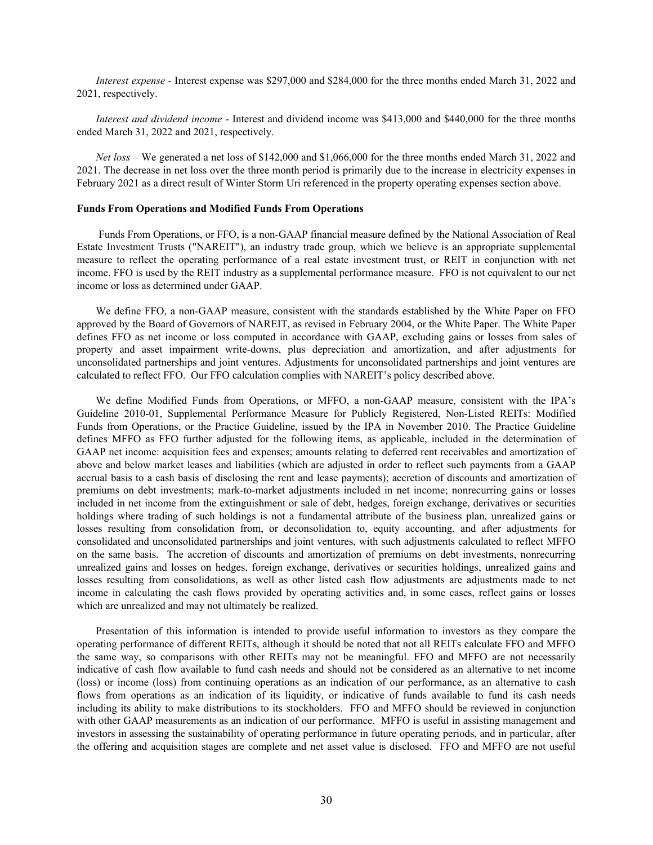*Interest expense -* Interest expense was \$297,000 and \$284,000 for the three months ended March 31, 2022 and 2021, respectively.

*Interest and dividend income* - Interest and dividend income was \$413,000 and \$440,000 for the three months ended March 31, 2022 and 2021, respectively.

*Net loss –* We generated a net loss of \$142,000 and \$1,066,000 for the three months ended March 31, 2022 and 2021. The decrease in net loss over the three month period is primarily due to the increase in electricity expenses in February 2021 as a direct result of Winter Storm Uri referenced in the property operating expenses section above.

#### **Funds From Operations and Modified Funds From Operations**

 Funds From Operations, or FFO, is a non-GAAP financial measure defined by the National Association of Real Estate Investment Trusts ("NAREIT"), an industry trade group, which we believe is an appropriate supplemental measure to reflect the operating performance of a real estate investment trust, or REIT in conjunction with net income. FFO is used by the REIT industry as a supplemental performance measure. FFO is not equivalent to our net income or loss as determined under GAAP.

We define FFO, a non-GAAP measure, consistent with the standards established by the White Paper on FFO approved by the Board of Governors of NAREIT, as revised in February 2004, or the White Paper. The White Paper defines FFO as net income or loss computed in accordance with GAAP, excluding gains or losses from sales of property and asset impairment write-downs, plus depreciation and amortization, and after adjustments for unconsolidated partnerships and joint ventures. Adjustments for unconsolidated partnerships and joint ventures are calculated to reflect FFO. Our FFO calculation complies with NAREIT's policy described above.

We define Modified Funds from Operations, or MFFO, a non-GAAP measure, consistent with the IPA's Guideline 2010-01, Supplemental Performance Measure for Publicly Registered, Non-Listed REITs: Modified Funds from Operations, or the Practice Guideline, issued by the IPA in November 2010. The Practice Guideline defines MFFO as FFO further adjusted for the following items, as applicable, included in the determination of GAAP net income: acquisition fees and expenses; amounts relating to deferred rent receivables and amortization of above and below market leases and liabilities (which are adjusted in order to reflect such payments from a GAAP accrual basis to a cash basis of disclosing the rent and lease payments); accretion of discounts and amortization of premiums on debt investments; mark-to-market adjustments included in net income; nonrecurring gains or losses included in net income from the extinguishment or sale of debt, hedges, foreign exchange, derivatives or securities holdings where trading of such holdings is not a fundamental attribute of the business plan, unrealized gains or losses resulting from consolidation from, or deconsolidation to, equity accounting, and after adjustments for consolidated and unconsolidated partnerships and joint ventures, with such adjustments calculated to reflect MFFO on the same basis. The accretion of discounts and amortization of premiums on debt investments, nonrecurring unrealized gains and losses on hedges, foreign exchange, derivatives or securities holdings, unrealized gains and losses resulting from consolidations, as well as other listed cash flow adjustments are adjustments made to net income in calculating the cash flows provided by operating activities and, in some cases, reflect gains or losses which are unrealized and may not ultimately be realized.

Presentation of this information is intended to provide useful information to investors as they compare the operating performance of different REITs, although it should be noted that not all REITs calculate FFO and MFFO the same way, so comparisons with other REITs may not be meaningful. FFO and MFFO are not necessarily indicative of cash flow available to fund cash needs and should not be considered as an alternative to net income (loss) or income (loss) from continuing operations as an indication of our performance, as an alternative to cash flows from operations as an indication of its liquidity, or indicative of funds available to fund its cash needs including its ability to make distributions to its stockholders. FFO and MFFO should be reviewed in conjunction with other GAAP measurements as an indication of our performance. MFFO is useful in assisting management and investors in assessing the sustainability of operating performance in future operating periods, and in particular, after the offering and acquisition stages are complete and net asset value is disclosed. FFO and MFFO are not useful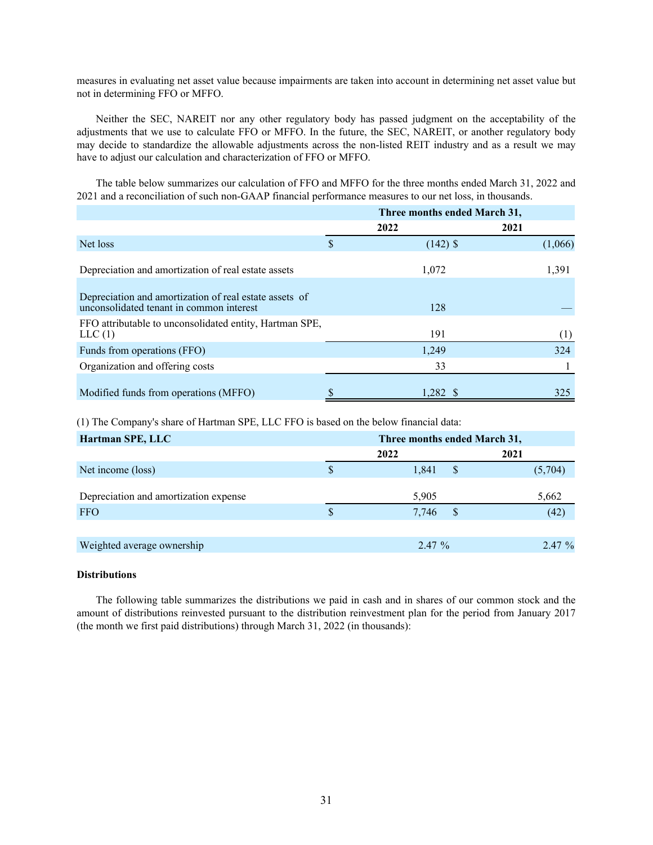measures in evaluating net asset value because impairments are taken into account in determining net asset value but not in determining FFO or MFFO.

Neither the SEC, NAREIT nor any other regulatory body has passed judgment on the acceptability of the adjustments that we use to calculate FFO or MFFO. In the future, the SEC, NAREIT, or another regulatory body may decide to standardize the allowable adjustments across the non-listed REIT industry and as a result we may have to adjust our calculation and characterization of FFO or MFFO.

The table below summarizes our calculation of FFO and MFFO for the three months ended March 31, 2022 and 2021 and a reconciliation of such non-GAAP financial performance measures to our net loss, in thousands.

|                                                                                                    | Three months ended March 31, |            |      |         |
|----------------------------------------------------------------------------------------------------|------------------------------|------------|------|---------|
|                                                                                                    | 2022                         |            | 2021 |         |
| Net loss                                                                                           | \$                           | $(142)$ \$ |      | (1,066) |
| Depreciation and amortization of real estate assets                                                |                              | 1,072      |      | 1,391   |
| Depreciation and amortization of real estate assets of<br>unconsolidated tenant in common interest |                              | 128        |      |         |
| FFO attributable to unconsolidated entity, Hartman SPE,<br>LLC(1)                                  |                              | 191        |      | (1)     |
| Funds from operations (FFO)                                                                        |                              | 1,249      |      | 324     |
| Organization and offering costs                                                                    |                              | 33         |      |         |
| Modified funds from operations (MFFO)                                                              | \$                           | 1,282 \$   |      | 325     |

(1) The Company's share of Hartman SPE, LLC FFO is based on the below financial data:

| Hartman SPE, LLC                      | Three months ended March 31, |                          |  |  |
|---------------------------------------|------------------------------|--------------------------|--|--|
|                                       | 2022                         | 2021                     |  |  |
| Net income (loss)                     | 1,841<br>S                   | <sup>\$</sup><br>(5,704) |  |  |
| Depreciation and amortization expense | 5,905                        | 5,662                    |  |  |
| <b>FFO</b>                            | 7,746                        | (42)<br>S                |  |  |
|                                       |                              |                          |  |  |
| Weighted average ownership            | $2.47\%$                     | 2.47 %                   |  |  |

## **Distributions**

The following table summarizes the distributions we paid in cash and in shares of our common stock and the amount of distributions reinvested pursuant to the distribution reinvestment plan for the period from January 2017 (the month we first paid distributions) through March 31, 2022 (in thousands):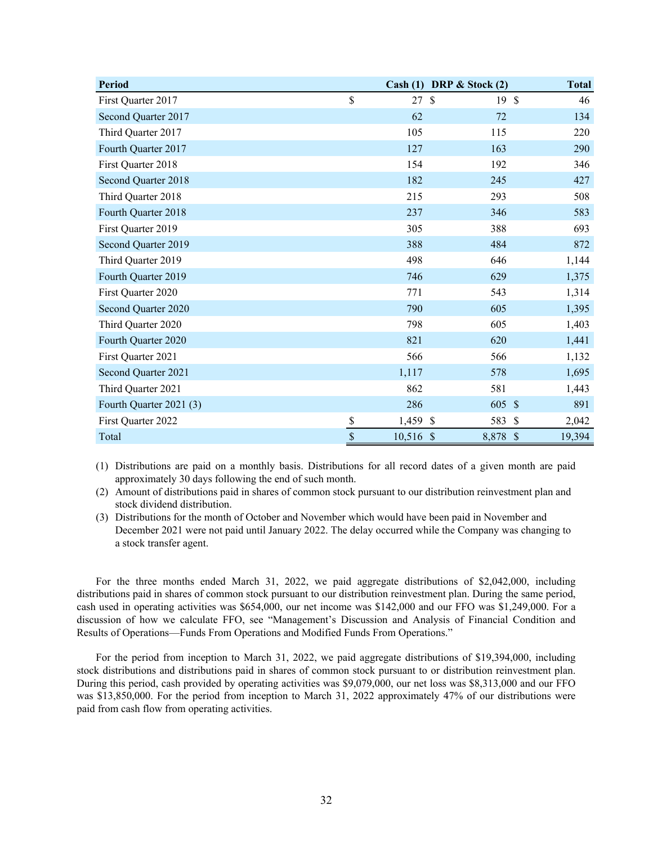| <b>Period</b>           |                           | Cash (1)    | DRP $\&$ Stock (2)   | <b>Total</b>           |
|-------------------------|---------------------------|-------------|----------------------|------------------------|
| First Quarter 2017      | \$                        | 27          | 19S<br>$\mathcal{S}$ | 46                     |
| Second Quarter 2017     |                           | 62          | 72                   | 134                    |
| Third Quarter 2017      |                           | 105         | 115                  | 220                    |
| Fourth Quarter 2017     |                           | 127         | 163                  | 290                    |
| First Quarter 2018      |                           | 154         | 192                  | 346                    |
| Second Quarter 2018     |                           | 182         | 245                  | 427                    |
| Third Quarter 2018      |                           | 215         | 293                  | 508                    |
| Fourth Quarter 2018     |                           | 237         | 346                  | 583                    |
| First Quarter 2019      |                           | 305         | 388                  | 693                    |
| Second Quarter 2019     |                           | 388         | 484                  | 872                    |
| Third Quarter 2019      |                           | 498         | 646                  | 1,144                  |
| Fourth Quarter 2019     |                           | 746         | 629                  | 1,375                  |
| First Quarter 2020      |                           | 771         | 543                  | 1,314                  |
| Second Quarter 2020     |                           | 790         | 605                  | 1,395                  |
| Third Quarter 2020      |                           | 798         | 605                  | 1,403                  |
| Fourth Quarter 2020     |                           | 821         | 620                  | 1,441                  |
| First Quarter 2021      |                           | 566         | 566                  | 1,132                  |
| Second Quarter 2021     |                           | 1,117       | 578                  | 1,695                  |
| Third Quarter 2021      |                           | 862         | 581                  | 1,443                  |
| Fourth Quarter 2021 (3) |                           | 286         | 605 \$               | 891                    |
| First Quarter 2022      | $\frac{1}{2}$             | 1,459 \$    | 583                  | $\mathcal{S}$<br>2,042 |
| Total                   | $\boldsymbol{\mathsf{S}}$ | $10,516$ \$ | 8,878                | $\sqrt{3}$<br>19,394   |

(1) Distributions are paid on a monthly basis. Distributions for all record dates of a given month are paid approximately 30 days following the end of such month.

(2) Amount of distributions paid in shares of common stock pursuant to our distribution reinvestment plan and stock dividend distribution.

(3) Distributions for the month of October and November which would have been paid in November and December 2021 were not paid until January 2022. The delay occurred while the Company was changing to a stock transfer agent.

For the three months ended March 31, 2022, we paid aggregate distributions of \$2,042,000, including distributions paid in shares of common stock pursuant to our distribution reinvestment plan. During the same period, cash used in operating activities was \$654,000, our net income was \$142,000 and our FFO was \$1,249,000. For a discussion of how we calculate FFO, see "Management's Discussion and Analysis of Financial Condition and Results of Operations—Funds From Operations and Modified Funds From Operations."

For the period from inception to March 31, 2022, we paid aggregate distributions of \$19,394,000, including stock distributions and distributions paid in shares of common stock pursuant to or distribution reinvestment plan. During this period, cash provided by operating activities was \$9,079,000, our net loss was \$8,313,000 and our FFO was \$13,850,000. For the period from inception to March 31, 2022 approximately 47% of our distributions were paid from cash flow from operating activities.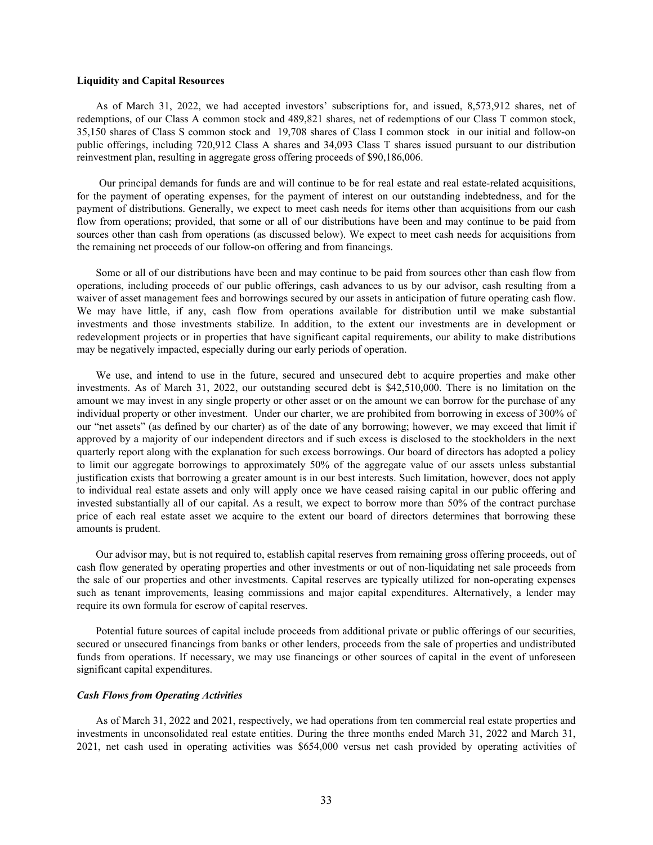#### **Liquidity and Capital Resources**

As of March 31, 2022, we had accepted investors' subscriptions for, and issued, 8,573,912 shares, net of redemptions, of our Class A common stock and 489,821 shares, net of redemptions of our Class T common stock, 35,150 shares of Class S common stock and 19,708 shares of Class I common stock in our initial and follow-on public offerings, including 720,912 Class A shares and 34,093 Class T shares issued pursuant to our distribution reinvestment plan, resulting in aggregate gross offering proceeds of \$90,186,006.

 Our principal demands for funds are and will continue to be for real estate and real estate-related acquisitions, for the payment of operating expenses, for the payment of interest on our outstanding indebtedness, and for the payment of distributions. Generally, we expect to meet cash needs for items other than acquisitions from our cash flow from operations; provided, that some or all of our distributions have been and may continue to be paid from sources other than cash from operations (as discussed below). We expect to meet cash needs for acquisitions from the remaining net proceeds of our follow-on offering and from financings.

Some or all of our distributions have been and may continue to be paid from sources other than cash flow from operations, including proceeds of our public offerings, cash advances to us by our advisor, cash resulting from a waiver of asset management fees and borrowings secured by our assets in anticipation of future operating cash flow. We may have little, if any, cash flow from operations available for distribution until we make substantial investments and those investments stabilize. In addition, to the extent our investments are in development or redevelopment projects or in properties that have significant capital requirements, our ability to make distributions may be negatively impacted, especially during our early periods of operation.

We use, and intend to use in the future, secured and unsecured debt to acquire properties and make other investments. As of March 31, 2022, our outstanding secured debt is \$42,510,000. There is no limitation on the amount we may invest in any single property or other asset or on the amount we can borrow for the purchase of any individual property or other investment. Under our charter, we are prohibited from borrowing in excess of 300% of our "net assets" (as defined by our charter) as of the date of any borrowing; however, we may exceed that limit if approved by a majority of our independent directors and if such excess is disclosed to the stockholders in the next quarterly report along with the explanation for such excess borrowings. Our board of directors has adopted a policy to limit our aggregate borrowings to approximately 50% of the aggregate value of our assets unless substantial justification exists that borrowing a greater amount is in our best interests. Such limitation, however, does not apply to individual real estate assets and only will apply once we have ceased raising capital in our public offering and invested substantially all of our capital. As a result, we expect to borrow more than 50% of the contract purchase price of each real estate asset we acquire to the extent our board of directors determines that borrowing these amounts is prudent.

Our advisor may, but is not required to, establish capital reserves from remaining gross offering proceeds, out of cash flow generated by operating properties and other investments or out of non-liquidating net sale proceeds from the sale of our properties and other investments. Capital reserves are typically utilized for non-operating expenses such as tenant improvements, leasing commissions and major capital expenditures. Alternatively, a lender may require its own formula for escrow of capital reserves.

Potential future sources of capital include proceeds from additional private or public offerings of our securities, secured or unsecured financings from banks or other lenders, proceeds from the sale of properties and undistributed funds from operations. If necessary, we may use financings or other sources of capital in the event of unforeseen significant capital expenditures.

#### *Cash Flows from Operating Activities*

As of March 31, 2022 and 2021, respectively, we had operations from ten commercial real estate properties and investments in unconsolidated real estate entities. During the three months ended March 31, 2022 and March 31, 2021, net cash used in operating activities was \$654,000 versus net cash provided by operating activities of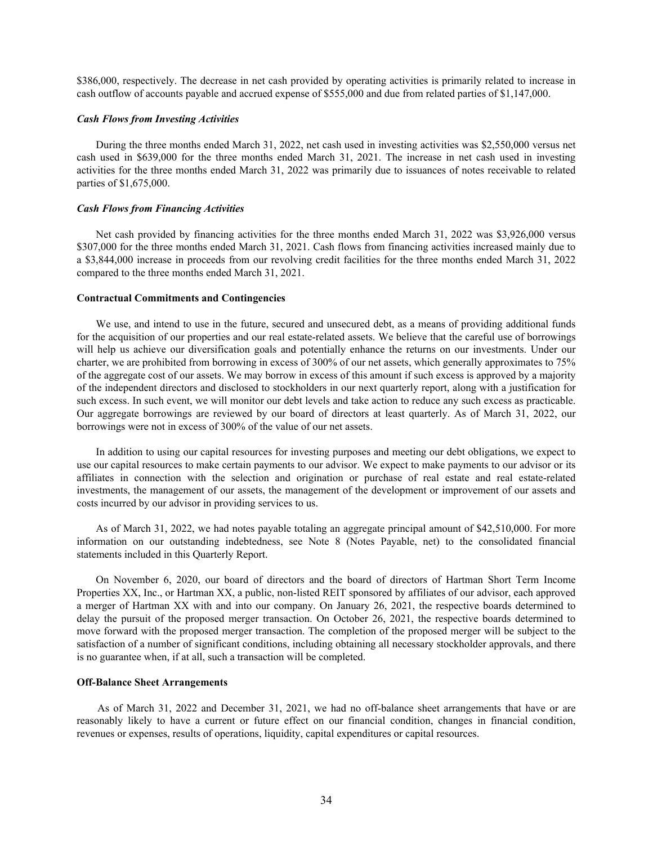\$386,000, respectively. The decrease in net cash provided by operating activities is primarily related to increase in cash outflow of accounts payable and accrued expense of \$555,000 and due from related parties of \$1,147,000.

## *Cash Flows from Investing Activities*

During the three months ended March 31, 2022, net cash used in investing activities was \$2,550,000 versus net cash used in \$639,000 for the three months ended March 31, 2021. The increase in net cash used in investing activities for the three months ended March 31, 2022 was primarily due to issuances of notes receivable to related parties of \$1,675,000.

#### *Cash Flows from Financing Activities*

Net cash provided by financing activities for the three months ended March 31, 2022 was \$3,926,000 versus \$307,000 for the three months ended March 31, 2021. Cash flows from financing activities increased mainly due to a \$3,844,000 increase in proceeds from our revolving credit facilities for the three months ended March 31, 2022 compared to the three months ended March 31, 2021.

#### **Contractual Commitments and Contingencies**

We use, and intend to use in the future, secured and unsecured debt, as a means of providing additional funds for the acquisition of our properties and our real estate-related assets. We believe that the careful use of borrowings will help us achieve our diversification goals and potentially enhance the returns on our investments. Under our charter, we are prohibited from borrowing in excess of 300% of our net assets, which generally approximates to 75% of the aggregate cost of our assets. We may borrow in excess of this amount if such excess is approved by a majority of the independent directors and disclosed to stockholders in our next quarterly report, along with a justification for such excess. In such event, we will monitor our debt levels and take action to reduce any such excess as practicable. Our aggregate borrowings are reviewed by our board of directors at least quarterly. As of March 31, 2022, our borrowings were not in excess of 300% of the value of our net assets.

In addition to using our capital resources for investing purposes and meeting our debt obligations, we expect to use our capital resources to make certain payments to our advisor. We expect to make payments to our advisor or its affiliates in connection with the selection and origination or purchase of real estate and real estate-related investments, the management of our assets, the management of the development or improvement of our assets and costs incurred by our advisor in providing services to us.

As of March 31, 2022, we had notes payable totaling an aggregate principal amount of \$42,510,000. For more information on our outstanding indebtedness, see Note 8 (Notes Payable, net) to the consolidated financial statements included in this Quarterly Report.

On November 6, 2020, our board of directors and the board of directors of Hartman Short Term Income Properties XX, Inc., or Hartman XX, a public, non-listed REIT sponsored by affiliates of our advisor, each approved a merger of Hartman XX with and into our company. On January 26, 2021, the respective boards determined to delay the pursuit of the proposed merger transaction. On October 26, 2021, the respective boards determined to move forward with the proposed merger transaction. The completion of the proposed merger will be subject to the satisfaction of a number of significant conditions, including obtaining all necessary stockholder approvals, and there is no guarantee when, if at all, such a transaction will be completed.

#### **Off-Balance Sheet Arrangements**

 As of March 31, 2022 and December 31, 2021, we had no off-balance sheet arrangements that have or are reasonably likely to have a current or future effect on our financial condition, changes in financial condition, revenues or expenses, results of operations, liquidity, capital expenditures or capital resources.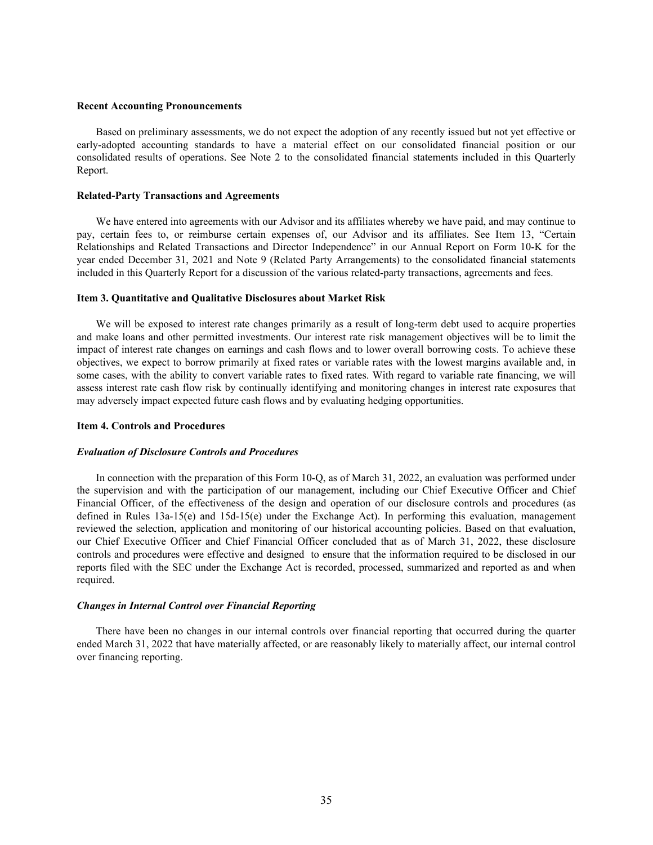#### <span id="page-36-0"></span>**Recent Accounting Pronouncements**

Based on preliminary assessments, we do not expect the adoption of any recently issued but not yet effective or early-adopted accounting standards to have a material effect on our consolidated financial position or our consolidated results of operations. See Note 2 to the consolidated financial statements included in this Quarterly Report.

#### **Related-Party Transactions and Agreements**

We have entered into agreements with our Advisor and its affiliates whereby we have paid, and may continue to pay, certain fees to, or reimburse certain expenses of, our Advisor and its affiliates. See Item 13, "Certain Relationships and Related Transactions and Director Independence" in our Annual Report on Form 10-K for the year ended December 31, 2021 and Note 9 (Related Party Arrangements) to the consolidated financial statements included in this Quarterly Report for a discussion of the various related-party transactions, agreements and fees.

## **Item 3. Quantitative and Qualitative Disclosures about Market Risk**

We will be exposed to interest rate changes primarily as a result of long-term debt used to acquire properties and make loans and other permitted investments. Our interest rate risk management objectives will be to limit the impact of interest rate changes on earnings and cash flows and to lower overall borrowing costs. To achieve these objectives, we expect to borrow primarily at fixed rates or variable rates with the lowest margins available and, in some cases, with the ability to convert variable rates to fixed rates. With regard to variable rate financing, we will assess interest rate cash flow risk by continually identifying and monitoring changes in interest rate exposures that may adversely impact expected future cash flows and by evaluating hedging opportunities.

#### **Item 4. Controls and Procedures**

## *Evaluation of Disclosure Controls and Procedures*

In connection with the preparation of this Form 10-Q, as of March 31, 2022, an evaluation was performed under the supervision and with the participation of our management, including our Chief Executive Officer and Chief Financial Officer, of the effectiveness of the design and operation of our disclosure controls and procedures (as defined in Rules 13a-15(e) and 15d-15(e) under the Exchange Act). In performing this evaluation, management reviewed the selection, application and monitoring of our historical accounting policies. Based on that evaluation, our Chief Executive Officer and Chief Financial Officer concluded that as of March 31, 2022, these disclosure controls and procedures were effective and designed to ensure that the information required to be disclosed in our reports filed with the SEC under the Exchange Act is recorded, processed, summarized and reported as and when required.

#### *Changes in Internal Control over Financial Reporting*

There have been no changes in our internal controls over financial reporting that occurred during the quarter ended March 31, 2022 that have materially affected, or are reasonably likely to materially affect, our internal control over financing reporting.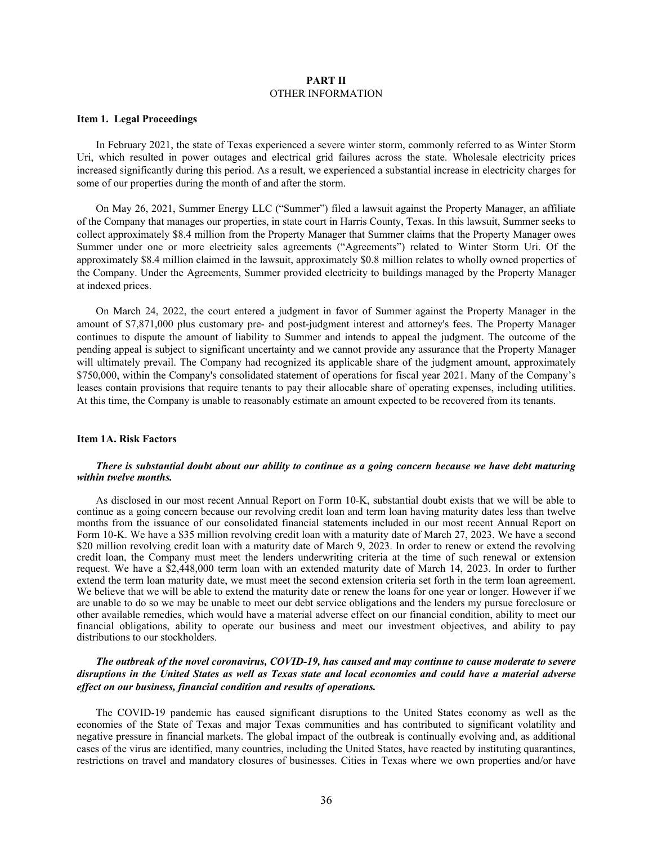#### **PART II** OTHER INFORMATION

## <span id="page-37-0"></span>**Item 1. Legal Proceedings**

In February 2021, the state of Texas experienced a severe winter storm, commonly referred to as Winter Storm Uri, which resulted in power outages and electrical grid failures across the state. Wholesale electricity prices increased significantly during this period. As a result, we experienced a substantial increase in electricity charges for some of our properties during the month of and after the storm.

On May 26, 2021, Summer Energy LLC ("Summer") filed a lawsuit against the Property Manager, an affiliate of the Company that manages our properties, in state court in Harris County, Texas. In this lawsuit, Summer seeks to collect approximately \$8.4 million from the Property Manager that Summer claims that the Property Manager owes Summer under one or more electricity sales agreements ("Agreements") related to Winter Storm Uri. Of the approximately \$8.4 million claimed in the lawsuit, approximately \$0.8 million relates to wholly owned properties of the Company. Under the Agreements, Summer provided electricity to buildings managed by the Property Manager at indexed prices.

On March 24, 2022, the court entered a judgment in favor of Summer against the Property Manager in the amount of \$7,871,000 plus customary pre- and post-judgment interest and attorney's fees. The Property Manager continues to dispute the amount of liability to Summer and intends to appeal the judgment. The outcome of the pending appeal is subject to significant uncertainty and we cannot provide any assurance that the Property Manager will ultimately prevail. The Company had recognized its applicable share of the judgment amount, approximately \$750,000, within the Company's consolidated statement of operations for fiscal year 2021. Many of the Company's leases contain provisions that require tenants to pay their allocable share of operating expenses, including utilities. At this time, the Company is unable to reasonably estimate an amount expected to be recovered from its tenants.

#### **Item 1A. Risk Factors**

#### *There is substantial doubt about our ability to continue as a going concern because we have debt maturing within twelve months.*

As disclosed in our most recent Annual Report on Form 10-K, substantial doubt exists that we will be able to continue as a going concern because our revolving credit loan and term loan having maturity dates less than twelve months from the issuance of our consolidated financial statements included in our most recent Annual Report on Form 10-K. We have a \$35 million revolving credit loan with a maturity date of March 27, 2023. We have a second \$20 million revolving credit loan with a maturity date of March 9, 2023. In order to renew or extend the revolving credit loan, the Company must meet the lenders underwriting criteria at the time of such renewal or extension request. We have a \$2,448,000 term loan with an extended maturity date of March 14, 2023. In order to further extend the term loan maturity date, we must meet the second extension criteria set forth in the term loan agreement. We believe that we will be able to extend the maturity date or renew the loans for one year or longer. However if we are unable to do so we may be unable to meet our debt service obligations and the lenders my pursue foreclosure or other available remedies, which would have a material adverse effect on our financial condition, ability to meet our financial obligations, ability to operate our business and meet our investment objectives, and ability to pay distributions to our stockholders.

## *The outbreak of the novel coronavirus, COVID-19, has caused and may continue to cause moderate to severe disruptions in the United States as well as Texas state and local economies and could have a material adverse effect on our business, financial condition and results of operations.*

The COVID-19 pandemic has caused significant disruptions to the United States economy as well as the economies of the State of Texas and major Texas communities and has contributed to significant volatility and negative pressure in financial markets. The global impact of the outbreak is continually evolving and, as additional cases of the virus are identified, many countries, including the United States, have reacted by instituting quarantines, restrictions on travel and mandatory closures of businesses. Cities in Texas where we own properties and/or have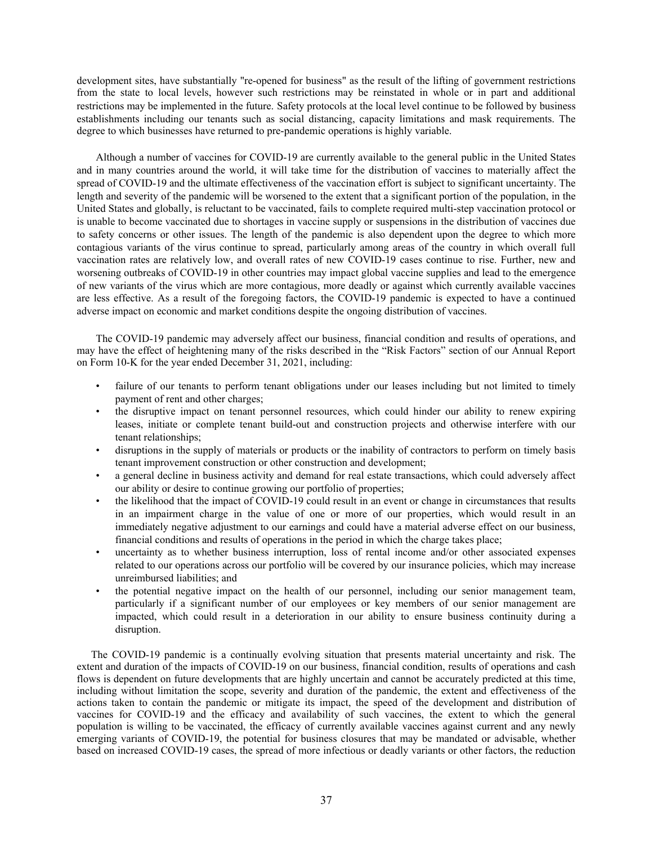development sites, have substantially "re-opened for business" as the result of the lifting of government restrictions from the state to local levels, however such restrictions may be reinstated in whole or in part and additional restrictions may be implemented in the future. Safety protocols at the local level continue to be followed by business establishments including our tenants such as social distancing, capacity limitations and mask requirements. The degree to which businesses have returned to pre-pandemic operations is highly variable.

Although a number of vaccines for COVID-19 are currently available to the general public in the United States and in many countries around the world, it will take time for the distribution of vaccines to materially affect the spread of COVID-19 and the ultimate effectiveness of the vaccination effort is subject to significant uncertainty. The length and severity of the pandemic will be worsened to the extent that a significant portion of the population, in the United States and globally, is reluctant to be vaccinated, fails to complete required multi-step vaccination protocol or is unable to become vaccinated due to shortages in vaccine supply or suspensions in the distribution of vaccines due to safety concerns or other issues. The length of the pandemic is also dependent upon the degree to which more contagious variants of the virus continue to spread, particularly among areas of the country in which overall full vaccination rates are relatively low, and overall rates of new COVID-19 cases continue to rise. Further, new and worsening outbreaks of COVID-19 in other countries may impact global vaccine supplies and lead to the emergence of new variants of the virus which are more contagious, more deadly or against which currently available vaccines are less effective. As a result of the foregoing factors, the COVID-19 pandemic is expected to have a continued adverse impact on economic and market conditions despite the ongoing distribution of vaccines.

The COVID-19 pandemic may adversely affect our business, financial condition and results of operations, and may have the effect of heightening many of the risks described in the "Risk Factors" section of our Annual Report on Form 10-K for the year ended December 31, 2021, including:

- failure of our tenants to perform tenant obligations under our leases including but not limited to timely payment of rent and other charges;
- the disruptive impact on tenant personnel resources, which could hinder our ability to renew expiring leases, initiate or complete tenant build-out and construction projects and otherwise interfere with our tenant relationships;
- disruptions in the supply of materials or products or the inability of contractors to perform on timely basis tenant improvement construction or other construction and development;
- a general decline in business activity and demand for real estate transactions, which could adversely affect our ability or desire to continue growing our portfolio of properties;
- the likelihood that the impact of COVID-19 could result in an event or change in circumstances that results in an impairment charge in the value of one or more of our properties, which would result in an immediately negative adjustment to our earnings and could have a material adverse effect on our business, financial conditions and results of operations in the period in which the charge takes place;
- uncertainty as to whether business interruption, loss of rental income and/or other associated expenses related to our operations across our portfolio will be covered by our insurance policies, which may increase unreimbursed liabilities; and
- the potential negative impact on the health of our personnel, including our senior management team, particularly if a significant number of our employees or key members of our senior management are impacted, which could result in a deterioration in our ability to ensure business continuity during a disruption.

The COVID-19 pandemic is a continually evolving situation that presents material uncertainty and risk. The extent and duration of the impacts of COVID-19 on our business, financial condition, results of operations and cash flows is dependent on future developments that are highly uncertain and cannot be accurately predicted at this time, including without limitation the scope, severity and duration of the pandemic, the extent and effectiveness of the actions taken to contain the pandemic or mitigate its impact, the speed of the development and distribution of vaccines for COVID-19 and the efficacy and availability of such vaccines, the extent to which the general population is willing to be vaccinated, the efficacy of currently available vaccines against current and any newly emerging variants of COVID-19, the potential for business closures that may be mandated or advisable, whether based on increased COVID-19 cases, the spread of more infectious or deadly variants or other factors, the reduction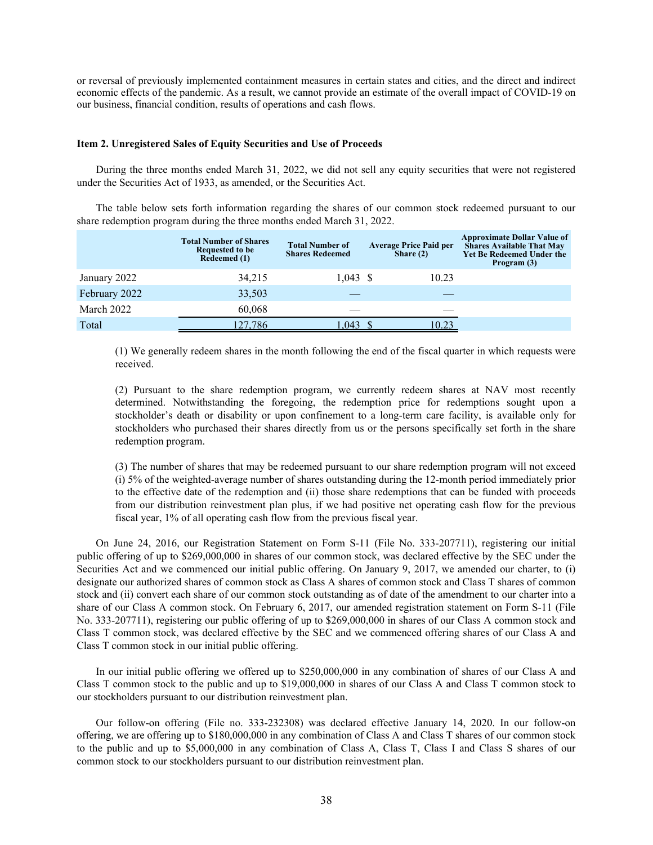<span id="page-39-0"></span>or reversal of previously implemented containment measures in certain states and cities, and the direct and indirect economic effects of the pandemic. As a result, we cannot provide an estimate of the overall impact of COVID-19 on our business, financial condition, results of operations and cash flows.

#### **Item 2. Unregistered Sales of Equity Securities and Use of Proceeds**

During the three months ended March 31, 2022, we did not sell any equity securities that were not registered under the Securities Act of 1933, as amended, or the Securities Act.

The table below sets forth information regarding the shares of our common stock redeemed pursuant to our share redemption program during the three months ended March 31, 2022.

|               | <b>Total Number of Shares</b><br>Requested to be<br>Redeemed (1) | <b>Total Number of</b><br><b>Shares Redeemed</b> | <b>Average Price Paid per</b><br>Share $(2)$ | <b>Approximate Dollar Value of</b><br><b>Shares Available That May</b><br><b>Yet Be Redeemed Under the</b><br>Program (3) |
|---------------|------------------------------------------------------------------|--------------------------------------------------|----------------------------------------------|---------------------------------------------------------------------------------------------------------------------------|
| January 2022  | 34,215                                                           | $1.043 \text{ }$ \$                              | 10.23                                        |                                                                                                                           |
| February 2022 | 33,503                                                           |                                                  |                                              |                                                                                                                           |
| March 2022    | 60.068                                                           |                                                  |                                              |                                                                                                                           |
| Total         | 127.786                                                          | .043                                             | <u> 10.23 </u>                               |                                                                                                                           |

(1) We generally redeem shares in the month following the end of the fiscal quarter in which requests were received.

(2) Pursuant to the share redemption program, we currently redeem shares at NAV most recently determined. Notwithstanding the foregoing, the redemption price for redemptions sought upon a stockholder's death or disability or upon confinement to a long-term care facility, is available only for stockholders who purchased their shares directly from us or the persons specifically set forth in the share redemption program.

(3) The number of shares that may be redeemed pursuant to our share redemption program will not exceed (i) 5% of the weighted-average number of shares outstanding during the 12-month period immediately prior to the effective date of the redemption and (ii) those share redemptions that can be funded with proceeds from our distribution reinvestment plan plus, if we had positive net operating cash flow for the previous fiscal year, 1% of all operating cash flow from the previous fiscal year.

On June 24, 2016, our Registration Statement on Form S-11 (File No. 333-207711), registering our initial public offering of up to \$269,000,000 in shares of our common stock, was declared effective by the SEC under the Securities Act and we commenced our initial public offering. On January 9, 2017, we amended our charter, to (i) designate our authorized shares of common stock as Class A shares of common stock and Class T shares of common stock and (ii) convert each share of our common stock outstanding as of date of the amendment to our charter into a share of our Class A common stock. On February 6, 2017, our amended registration statement on Form S-11 (File No. 333-207711), registering our public offering of up to \$269,000,000 in shares of our Class A common stock and Class T common stock, was declared effective by the SEC and we commenced offering shares of our Class A and Class T common stock in our initial public offering.

In our initial public offering we offered up to \$250,000,000 in any combination of shares of our Class A and Class T common stock to the public and up to \$19,000,000 in shares of our Class A and Class T common stock to our stockholders pursuant to our distribution reinvestment plan.

Our follow-on offering (File no. 333-232308) was declared effective January 14, 2020. In our follow-on offering, we are offering up to \$180,000,000 in any combination of Class A and Class T shares of our common stock to the public and up to \$5,000,000 in any combination of Class A, Class T, Class I and Class S shares of our common stock to our stockholders pursuant to our distribution reinvestment plan.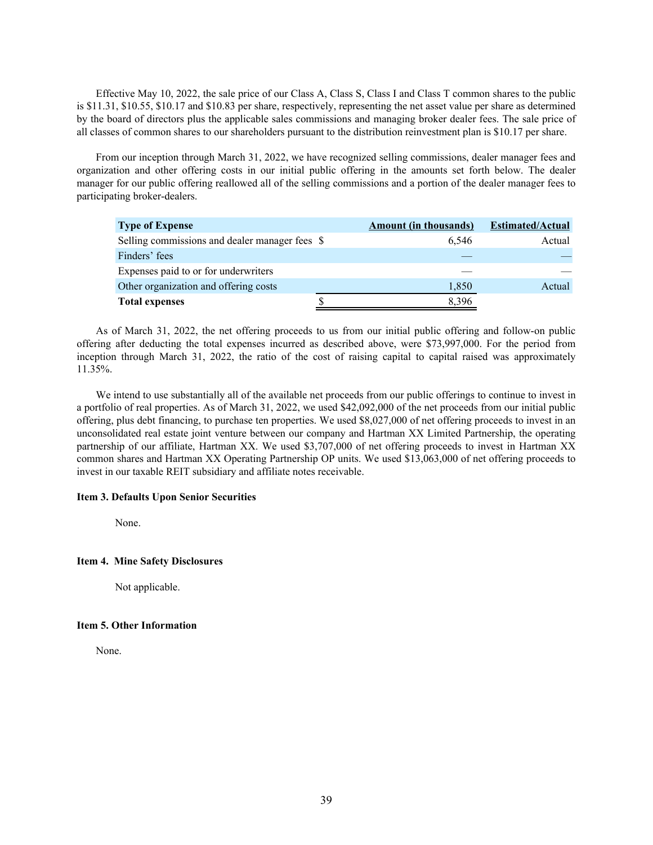<span id="page-40-0"></span>Effective May 10, 2022, the sale price of our Class A, Class S, Class I and Class T common shares to the public is \$11.31, \$10.55, \$10.17 and \$10.83 per share, respectively, representing the net asset value per share as determined by the board of directors plus the applicable sales commissions and managing broker dealer fees. The sale price of all classes of common shares to our shareholders pursuant to the distribution reinvestment plan is \$10.17 per share.

From our inception through March 31, 2022, we have recognized selling commissions, dealer manager fees and organization and other offering costs in our initial public offering in the amounts set forth below. The dealer manager for our public offering reallowed all of the selling commissions and a portion of the dealer manager fees to participating broker-dealers.

| <b>Type of Expense</b>                         | <b>Amount (in thousands)</b> | <b>Estimated/Actual</b> |
|------------------------------------------------|------------------------------|-------------------------|
| Selling commissions and dealer manager fees \$ | 6.546                        | Actual                  |
| Finders' fees                                  |                              |                         |
| Expenses paid to or for underwriters           |                              |                         |
| Other organization and offering costs          | 1,850                        | Actual                  |
| <b>Total expenses</b>                          | 8,396                        |                         |

As of March 31, 2022, the net offering proceeds to us from our initial public offering and follow-on public offering after deducting the total expenses incurred as described above, were \$73,997,000. For the period from inception through March 31, 2022, the ratio of the cost of raising capital to capital raised was approximately 11.35%.

We intend to use substantially all of the available net proceeds from our public offerings to continue to invest in a portfolio of real properties. As of March 31, 2022, we used \$42,092,000 of the net proceeds from our initial public offering, plus debt financing, to purchase ten properties. We used \$8,027,000 of net offering proceeds to invest in an unconsolidated real estate joint venture between our company and Hartman XX Limited Partnership, the operating partnership of our affiliate, Hartman XX. We used \$3,707,000 of net offering proceeds to invest in Hartman XX common shares and Hartman XX Operating Partnership OP units. We used \$13,063,000 of net offering proceeds to invest in our taxable REIT subsidiary and affiliate notes receivable.

## **Item 3. Defaults Upon Senior Securities**

None.

## **Item 4. Mine Safety Disclosures**

Not applicable.

## **Item 5. Other Information**

None.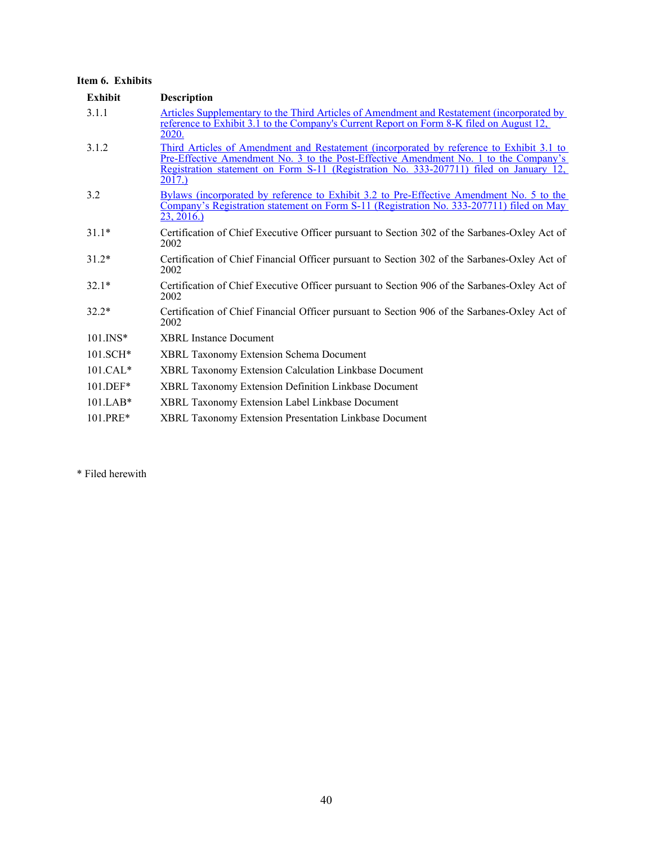## <span id="page-41-0"></span>**Item 6. Exhibits**

| <b>Exhibit</b>         | <b>Description</b>                                                                                                                                                                                                                                                                   |
|------------------------|--------------------------------------------------------------------------------------------------------------------------------------------------------------------------------------------------------------------------------------------------------------------------------------|
| 3.1.1                  | Articles Supplementary to the Third Articles of Amendment and Restatement (incorporated by<br>reference to Exhibit 3.1 to the Company's Current Report on Form 8-K filed on August 12,<br>2020.                                                                                      |
| 3.1.2                  | Third Articles of Amendment and Restatement (incorporated by reference to Exhibit 3.1 to<br>Pre-Effective Amendment No. 3 to the Post-Effective Amendment No. 1 to the Company's<br>Registration statement on Form S-11 (Registration No. 333-207711) filed on January 12,<br>2017.) |
| 3.2                    | Bylaws (incorporated by reference to Exhibit 3.2 to Pre-Effective Amendment No. 5 to the<br>Company's Registration statement on Form S-11 (Registration No. 333-207711) filed on May<br>23, 2016.                                                                                    |
| $31.1*$                | Certification of Chief Executive Officer pursuant to Section 302 of the Sarbanes-Oxley Act of<br>2002                                                                                                                                                                                |
| $31.2*$                | Certification of Chief Financial Officer pursuant to Section 302 of the Sarbanes-Oxley Act of<br>2002                                                                                                                                                                                |
| $32.1*$                | Certification of Chief Executive Officer pursuant to Section 906 of the Sarbanes-Oxley Act of<br>2002                                                                                                                                                                                |
| $32.2*$                | Certification of Chief Financial Officer pursuant to Section 906 of the Sarbanes-Oxley Act of<br>2002                                                                                                                                                                                |
| $101$ . INS*           | <b>XBRL Instance Document</b>                                                                                                                                                                                                                                                        |
| $101.SCH*$             | <b>XBRL Taxonomy Extension Schema Document</b>                                                                                                                                                                                                                                       |
| $101.CAI.*$            | XBRL Taxonomy Extension Calculation Linkbase Document                                                                                                                                                                                                                                |
| $101.DEF*$             | XBRL Taxonomy Extension Definition Linkbase Document                                                                                                                                                                                                                                 |
| $101$ LAB <sup>*</sup> | <b>XBRL Taxonomy Extension Label Linkbase Document</b>                                                                                                                                                                                                                               |
| 101.PRE*               | XBRL Taxonomy Extension Presentation Linkbase Document                                                                                                                                                                                                                               |

\* Filed herewith